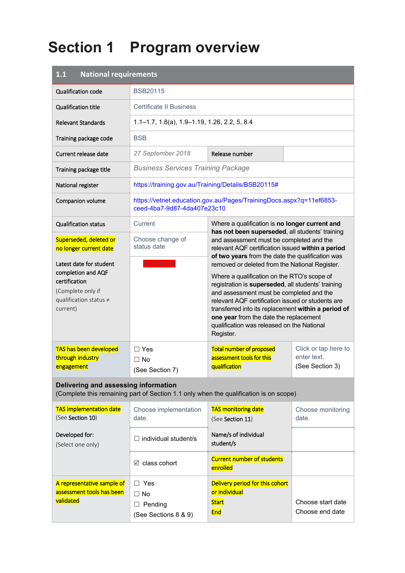# **Section 1 Program overview**

| <b>National requirements</b><br>1.1                                                                                       |                                                                      |                                                                                                                                                                                                                                                                                                                                                                                                                  |                                                        |  |
|---------------------------------------------------------------------------------------------------------------------------|----------------------------------------------------------------------|------------------------------------------------------------------------------------------------------------------------------------------------------------------------------------------------------------------------------------------------------------------------------------------------------------------------------------------------------------------------------------------------------------------|--------------------------------------------------------|--|
| Qualification code                                                                                                        | <b>BSB20115</b>                                                      |                                                                                                                                                                                                                                                                                                                                                                                                                  |                                                        |  |
| <b>Qualification title</b>                                                                                                | <b>Certificate II Business</b>                                       |                                                                                                                                                                                                                                                                                                                                                                                                                  |                                                        |  |
| <b>Relevant Standards</b>                                                                                                 | $1.1 - 1.7$ , $1.8(a)$ , $1.9 - 1.19$ , $1.26$ , $2.2$ , $5$ , $8.4$ |                                                                                                                                                                                                                                                                                                                                                                                                                  |                                                        |  |
| Training package code                                                                                                     | <b>BSB</b>                                                           |                                                                                                                                                                                                                                                                                                                                                                                                                  |                                                        |  |
| Current release date                                                                                                      | 27 September 2018                                                    | Release number                                                                                                                                                                                                                                                                                                                                                                                                   |                                                        |  |
| Training package title                                                                                                    | <b>Business Services Training Package</b>                            |                                                                                                                                                                                                                                                                                                                                                                                                                  |                                                        |  |
| National register                                                                                                         | https://training.gov.au/Training/Details/BSB20115#                   |                                                                                                                                                                                                                                                                                                                                                                                                                  |                                                        |  |
| Companion volume                                                                                                          | ceed-4ba7-9d87-4da407e23c10                                          | https://vetnet.education.gov.au/Pages/TrainingDocs.aspx?q=11ef6853-                                                                                                                                                                                                                                                                                                                                              |                                                        |  |
| <b>Qualification status</b>                                                                                               | Current                                                              | Where a qualification is no longer current and                                                                                                                                                                                                                                                                                                                                                                   |                                                        |  |
| Superseded, deleted or<br>no longer current date                                                                          | Choose change of<br>status date                                      | has not been superseded, all students' training<br>and assessment must be completed and the<br>relevant AQF certification issued within a period<br>of two years from the date the qualification was                                                                                                                                                                                                             |                                                        |  |
| Latest date for student<br>completion and AQF<br>certification<br>(Complete only if<br>qualification status ≠<br>current) | 12/11/2020                                                           | removed or deleted from the National Register.<br>Where a qualification on the RTO's scope of<br>registration is superseded, all students' training<br>and assessment must be completed and the<br>relevant AQF certification issued or students are<br>transferred into its replacement within a period of<br>one year from the date the replacement<br>qualification was released on the National<br>Register. |                                                        |  |
| TAS has been developed<br>through industry<br>engagement                                                                  | $\Box$ Yes<br>$\Box$ No<br>(See Section 7)                           | <b>Total number of proposed</b><br>assessment tools for this<br>qualification                                                                                                                                                                                                                                                                                                                                    | Click or tap here to<br>enter text.<br>(See Section 3) |  |
| Delivering and assessing information                                                                                      |                                                                      | (Complete this remaining part of Section 1.1 only when the qualification is on scope)                                                                                                                                                                                                                                                                                                                            |                                                        |  |
| <b>TAS implementation date</b><br>(See Section 10)                                                                        | Choose implementation<br>date.                                       | <b>TAS monitoring date</b><br>(See Section 11)                                                                                                                                                                                                                                                                                                                                                                   | Choose monitoring<br>date.                             |  |
| Developed for:<br>(Select one only)                                                                                       | $\Box$ individual student/s                                          | Name/s of individual<br>student/s                                                                                                                                                                                                                                                                                                                                                                                |                                                        |  |
|                                                                                                                           | $\boxtimes$ class cohort                                             | <b>Current number of students</b><br>enrolled                                                                                                                                                                                                                                                                                                                                                                    |                                                        |  |
| A representative sample of<br>assessment tools has been<br>validated                                                      | $\Box$ Yes<br>$\Box$ No<br>$\Box$ Pending<br>(See Sections 8 & 9)    | Delivery period for this cohort<br>or individual<br><b>Start</b><br><b>End</b>                                                                                                                                                                                                                                                                                                                                   | Choose start date<br>Choose end date                   |  |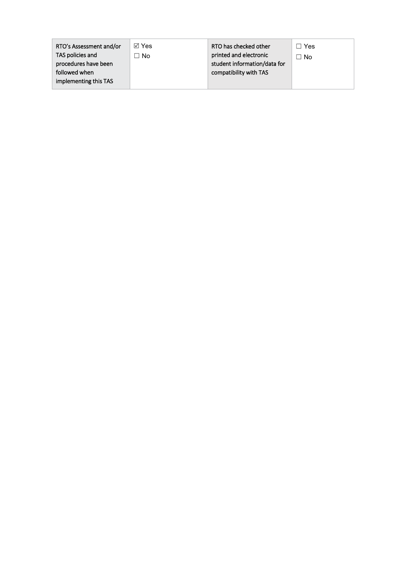| RTO's Assessment and/or<br>TAS policies and<br>procedures have been<br>followed when | ⊠ Yes<br>No | RTO has checked other<br>printed and electronic<br>student information/data for<br>compatibility with TAS | Yes<br>ר No |
|--------------------------------------------------------------------------------------|-------------|-----------------------------------------------------------------------------------------------------------|-------------|
| implementing this TAS                                                                |             |                                                                                                           |             |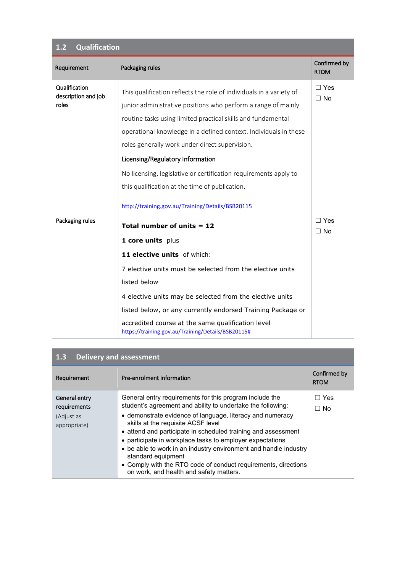### **1.2 Qualification**

| Requirement                          | Packaging rules                                                                                         | Confirmed by<br><b>RTOM</b> |
|--------------------------------------|---------------------------------------------------------------------------------------------------------|-----------------------------|
| Qualification<br>description and job | This qualification reflects the role of individuals in a variety of                                     | $\Box$ Yes<br>$\Box$ No     |
| roles                                | junior administrative positions who perform a range of mainly                                           |                             |
|                                      | routine tasks using limited practical skills and fundamental                                            |                             |
|                                      | operational knowledge in a defined context. Individuals in these                                        |                             |
|                                      | roles generally work under direct supervision.                                                          |                             |
|                                      | Licensing/Regulatory Information                                                                        |                             |
|                                      | No licensing, legislative or certification requirements apply to                                        |                             |
|                                      | this qualification at the time of publication.                                                          |                             |
|                                      | http://training.gov.au/Training/Details/BSB20115                                                        |                             |
| Packaging rules                      | Total number of units $= 12$                                                                            | $\Box$ Yes<br>$\Box$ No     |
|                                      | 1 core units plus                                                                                       |                             |
|                                      | 11 elective units of which:                                                                             |                             |
|                                      | 7 elective units must be selected from the elective units                                               |                             |
|                                      | listed below                                                                                            |                             |
|                                      | 4 elective units may be selected from the elective units                                                |                             |
|                                      | listed below, or any currently endorsed Training Package or                                             |                             |
|                                      | accredited course at the same qualification level<br>https://training.gov.au/Training/Details/BSB20115# |                             |

| Requirement                                                 | Pre-enrolment information                                                                                                                                                                                                                                                                                                                                                                                                                                                                                                                                      | Confirmed by<br><b>RTOM</b> |
|-------------------------------------------------------------|----------------------------------------------------------------------------------------------------------------------------------------------------------------------------------------------------------------------------------------------------------------------------------------------------------------------------------------------------------------------------------------------------------------------------------------------------------------------------------------------------------------------------------------------------------------|-----------------------------|
| General entry<br>requirements<br>(Adjust as<br>appropriate) | General entry requirements for this program include the<br>student's agreement and ability to undertake the following:<br>• demonstrate evidence of language, literacy and numeracy<br>skills at the requisite ACSF level<br>• attend and participate in scheduled training and assessment<br>• participate in workplace tasks to employer expectations<br>• be able to work in an industry environment and handle industry<br>standard equipment<br>• Comply with the RTO code of conduct requirements, directions<br>on work, and health and safety matters. | Yes<br>. . 1<br>$\Box$ No   |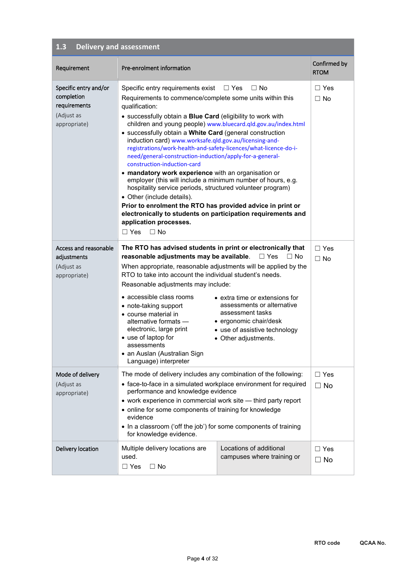| Requirement                                                                       | Pre-enrolment information                                                                                                                                                                                                                                                                                                                                                                                                                                                                                                                                                                                                                                                                                                                                                                                                                                                                                                                               |                                                                                                                                                                                                | Confirmed by<br><b>RTOM</b> |
|-----------------------------------------------------------------------------------|---------------------------------------------------------------------------------------------------------------------------------------------------------------------------------------------------------------------------------------------------------------------------------------------------------------------------------------------------------------------------------------------------------------------------------------------------------------------------------------------------------------------------------------------------------------------------------------------------------------------------------------------------------------------------------------------------------------------------------------------------------------------------------------------------------------------------------------------------------------------------------------------------------------------------------------------------------|------------------------------------------------------------------------------------------------------------------------------------------------------------------------------------------------|-----------------------------|
| Specific entry and/or<br>completion<br>requirements<br>(Adjust as<br>appropriate) | Specific entry requirements exist $\square$ Yes<br>Requirements to commence/complete some units within this<br>qualification:<br>• successfully obtain a Blue Card (eligibility to work with<br>children and young people) www.bluecard.qld.gov.au/index.html<br>• successfully obtain a White Card (general construction<br>induction card) www.worksafe.qld.gov.au/licensing-and-<br>registrations/work-health-and-safety-licences/what-licence-do-i-<br>need/general-construction-induction/apply-for-a-general-<br>construction-induction-card<br>• mandatory work experience with an organisation or<br>employer (this will include a minimum number of hours, e.g.<br>hospitality service periods, structured volunteer program)<br>• Other (include details).<br>Prior to enrolment the RTO has provided advice in print or<br>electronically to students on participation requirements and<br>application processes.<br>$\Box$ Yes<br>$\Box$ No | $\Box$ No                                                                                                                                                                                      | $\Box$ Yes<br>$\Box$ No     |
| Access and reasonable<br>adjustments<br>(Adjust as<br>appropriate)                | The RTO has advised students in print or electronically that<br>reasonable adjustments may be available.<br>When appropriate, reasonable adjustments will be applied by the<br>RTO to take into account the individual student's needs.<br>Reasonable adjustments may include:<br>$\bullet$ accessible class rooms<br>• note-taking support<br>• course material in<br>alternative formats -<br>electronic, large print<br>• use of laptop for<br>assessments<br>• an Auslan (Australian Sign<br>Language) interpreter                                                                                                                                                                                                                                                                                                                                                                                                                                  | $\Box$ Yes<br>$\Box$ No<br>• extra time or extensions for<br>assessments or alternative<br>assessment tasks<br>· ergonomic chair/desk<br>• use of assistive technology<br>• Other adjustments. | $\Box$ Yes<br>$\Box$ No     |
| Mode of delivery<br>(Adjust as<br>appropriate)                                    | The mode of delivery includes any combination of the following:<br>• face-to-face in a simulated workplace environment for required<br>performance and knowledge evidence<br>• work experience in commercial work site - third party report<br>• online for some components of training for knowledge<br>evidence<br>• In a classroom ('off the job') for some components of training<br>for knowledge evidence.                                                                                                                                                                                                                                                                                                                                                                                                                                                                                                                                        |                                                                                                                                                                                                | $\Box$ Yes<br>$\Box$ No     |
| Delivery location                                                                 | Locations of additional<br>Multiple delivery locations are<br>campuses where training or<br>used.<br>$\Box$ Yes<br>$\Box$ No                                                                                                                                                                                                                                                                                                                                                                                                                                                                                                                                                                                                                                                                                                                                                                                                                            |                                                                                                                                                                                                | $\Box$ Yes<br>$\Box$ No     |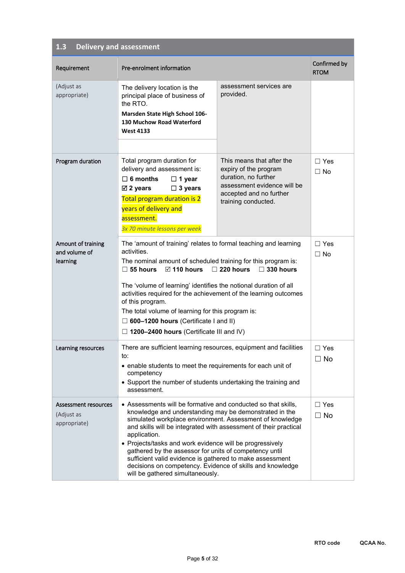| Requirement                                        | Pre-enrolment information                                                                                                                                                                                                                                                                                                                                                                                                                                                                                                                                  |                                                                                                                                                             | Confirmed by<br><b>RTOM</b> |
|----------------------------------------------------|------------------------------------------------------------------------------------------------------------------------------------------------------------------------------------------------------------------------------------------------------------------------------------------------------------------------------------------------------------------------------------------------------------------------------------------------------------------------------------------------------------------------------------------------------------|-------------------------------------------------------------------------------------------------------------------------------------------------------------|-----------------------------|
| (Adjust as<br>appropriate)                         | The delivery location is the<br>principal place of business of<br>the RTO.<br>Marsden State High School 106-<br><b>130 Muchow Road Waterford</b><br><b>West 4133</b>                                                                                                                                                                                                                                                                                                                                                                                       | assessment services are<br>provided.                                                                                                                        |                             |
| Program duration                                   | Total program duration for<br>delivery and assessment is:<br>$\Box$ 6 months<br>$\Box$ 1 year<br>$\boxtimes$ 2 years<br>$\Box$ 3 years<br>Total program duration is 2<br>years of delivery and<br>assessment.<br>3x 70 minute lessons per week                                                                                                                                                                                                                                                                                                             | This means that after the<br>expiry of the program<br>duration, no further<br>assessment evidence will be<br>accepted and no further<br>training conducted. | $\Box$ Yes<br>$\Box$ No     |
| Amount of training<br>and volume of<br>learning    | The 'amount of training' relates to formal teaching and learning<br>activities.<br>The nominal amount of scheduled training for this program is:<br>$\boxtimes$ 110 hours<br>$\Box$ 220 hours<br>$\Box$ 330 hours<br>$\Box$ 55 hours<br>The 'volume of learning' identifies the notional duration of all<br>activities required for the achievement of the learning outcomes<br>of this program.<br>The total volume of learning for this program is:<br>$\Box$ 600-1200 hours (Certificate I and II)<br>$\Box$ 1200–2400 hours (Certificate III and IV)   |                                                                                                                                                             | $\Box$ Yes<br>$\Box$ No     |
| Learning resources                                 | There are sufficient learning resources, equipment and facilities<br>to:<br>• enable students to meet the requirements for each unit of<br>competency<br>• Support the number of students undertaking the training and<br>assessment.                                                                                                                                                                                                                                                                                                                      |                                                                                                                                                             | $\Box$ Yes<br>$\Box$ No     |
| Assessment resources<br>(Adjust as<br>appropriate) | • Assessments will be formative and conducted so that skills,<br>knowledge and understanding may be demonstrated in the<br>simulated workplace environment. Assessment of knowledge<br>and skills will be integrated with assessment of their practical<br>application.<br>• Projects/tasks and work evidence will be progressively<br>gathered by the assessor for units of competency until<br>sufficient valid evidence is gathered to make assessment<br>decisions on competency. Evidence of skills and knowledge<br>will be gathered simultaneously. |                                                                                                                                                             | $\Box$ Yes<br>$\Box$ No     |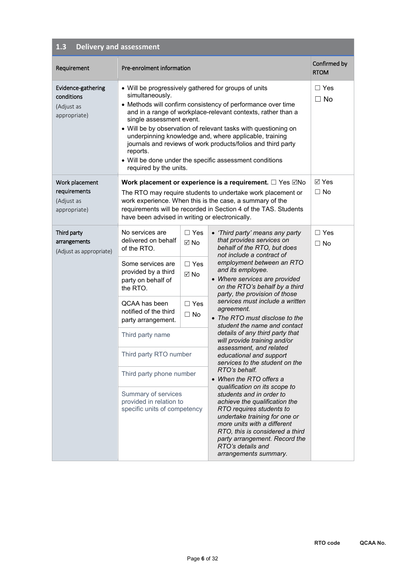| Requirement                                                    | Pre-enrolment information                                                                                                                                                                                                                                                                                                                                       |                                                                                         |                                                                                                                                                                                                                                                                                                                                                                                                                                                                                                                                                                                                                                                                                                                                                                                                                                                                                                                      | Confirmed by<br><b>RTOM</b> |
|----------------------------------------------------------------|-----------------------------------------------------------------------------------------------------------------------------------------------------------------------------------------------------------------------------------------------------------------------------------------------------------------------------------------------------------------|-----------------------------------------------------------------------------------------|----------------------------------------------------------------------------------------------------------------------------------------------------------------------------------------------------------------------------------------------------------------------------------------------------------------------------------------------------------------------------------------------------------------------------------------------------------------------------------------------------------------------------------------------------------------------------------------------------------------------------------------------------------------------------------------------------------------------------------------------------------------------------------------------------------------------------------------------------------------------------------------------------------------------|-----------------------------|
| Evidence-gathering<br>conditions<br>(Adjust as<br>appropriate) | • Will be progressively gathered for groups of units<br>simultaneously.<br>single assessment event.<br>reports.<br>required by the units.                                                                                                                                                                                                                       |                                                                                         | • Methods will confirm consistency of performance over time<br>and in a range of workplace-relevant contexts, rather than a<br>• Will be by observation of relevant tasks with questioning on<br>underpinning knowledge and, where applicable, training<br>journals and reviews of work products/folios and third party<br>• Will be done under the specific assessment conditions                                                                                                                                                                                                                                                                                                                                                                                                                                                                                                                                   | $\Box$ Yes<br>$\Box$ No     |
| Work placement<br>requirements<br>(Adjust as<br>appropriate)   | have been advised in writing or electronically.                                                                                                                                                                                                                                                                                                                 |                                                                                         | Work placement or experience is a requirement. $\Box$ Yes $\Box$ No<br>The RTO may require students to undertake work placement or<br>work experience. When this is the case, a summary of the<br>requirements will be recorded in Section 4 of the TAS. Students                                                                                                                                                                                                                                                                                                                                                                                                                                                                                                                                                                                                                                                    | ⊠ Yes<br>$\Box$ No          |
| Third party<br>arrangements<br>(Adjust as appropriate)         | No services are<br>delivered on behalf<br>of the RTO.<br>Some services are<br>provided by a third<br>party on behalf of<br>the RTO.<br>QCAA has been<br>notified of the third<br>party arrangement.<br>Third party name<br>Third party RTO number<br>Third party phone number<br>Summary of services<br>provided in relation to<br>specific units of competency | $\Box$ Yes<br>$\boxtimes$ No<br>$\Box$ Yes<br>$\boxtimes$ No<br>$\Box$ Yes<br>$\Box$ No | • 'Third party' means any party<br>that provides services on<br>behalf of the RTO, but does<br>not include a contract of<br>employment between an RTO<br>and its employee.<br>• Where services are provided<br>on the RTO's behalf by a third<br>party, the provision of those<br>services must include a written<br>agreement.<br>• The RTO must disclose to the<br>student the name and contact<br>details of any third party that<br>will provide training and/or<br>assessment, and related<br>educational and support<br>services to the student on the<br>RTO's behalf.<br>• When the RTO offers a<br>qualification on its scope to<br>students and in order to<br>achieve the qualification the<br>RTO requires students to<br>undertake training for one or<br>more units with a different<br>RTO, this is considered a third<br>party arrangement. Record the<br>RTO's details and<br>arrangements summary. | $\Box$ Yes<br>$\Box$ No     |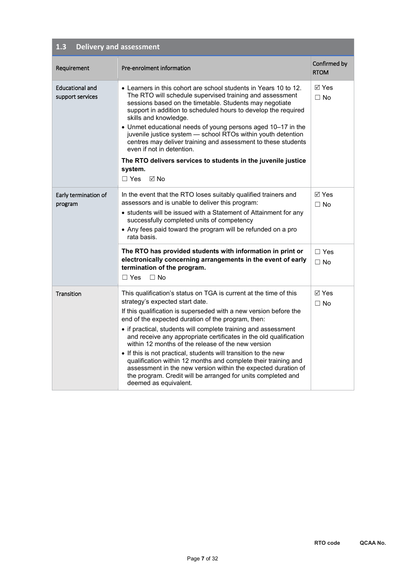| Requirement                                | Pre-enrolment information                                                                                                                                                                                                                                                                                                                                                                                                                                                                                                                                                                                                                                                                                                   | Confirmed by<br><b>RTOM</b> |
|--------------------------------------------|-----------------------------------------------------------------------------------------------------------------------------------------------------------------------------------------------------------------------------------------------------------------------------------------------------------------------------------------------------------------------------------------------------------------------------------------------------------------------------------------------------------------------------------------------------------------------------------------------------------------------------------------------------------------------------------------------------------------------------|-----------------------------|
| <b>Educational and</b><br>support services | $\bullet$ Learners in this cohort are school students in Years 10 to 12.<br>The RTO will schedule supervised training and assessment<br>sessions based on the timetable. Students may negotiate<br>support in addition to scheduled hours to develop the required<br>skills and knowledge.<br>• Unmet educational needs of young persons aged 10-17 in the<br>juvenile justice system - school RTOs within youth detention<br>centres may deliver training and assessment to these students<br>even if not in detention.<br>The RTO delivers services to students in the juvenile justice<br>system.<br>$\boxtimes$ No<br>$\Box$ Yes                                                                                        | $\boxdot$ Yes<br>$\Box$ No  |
| Early termination of<br>program            | In the event that the RTO loses suitably qualified trainers and<br>assessors and is unable to deliver this program:<br>• students will be issued with a Statement of Attainment for any<br>successfully completed units of competency<br>• Any fees paid toward the program will be refunded on a pro<br>rata basis.                                                                                                                                                                                                                                                                                                                                                                                                        | $\boxdot$ Yes<br>$\Box$ No  |
|                                            | The RTO has provided students with information in print or<br>electronically concerning arrangements in the event of early<br>termination of the program.<br>$\Box$ Yes<br>$\Box$ No                                                                                                                                                                                                                                                                                                                                                                                                                                                                                                                                        | $\Box$ Yes<br>$\Box$ No     |
| Transition                                 | This qualification's status on TGA is current at the time of this<br>strategy's expected start date.<br>If this qualification is superseded with a new version before the<br>end of the expected duration of the program, then:<br>• if practical, students will complete training and assessment<br>and receive any appropriate certificates in the old qualification<br>within 12 months of the release of the new version<br>• If this is not practical, students will transition to the new<br>qualification within 12 months and complete their training and<br>assessment in the new version within the expected duration of<br>the program. Credit will be arranged for units completed and<br>deemed as equivalent. | ⊠ Yes<br>$\Box$ No          |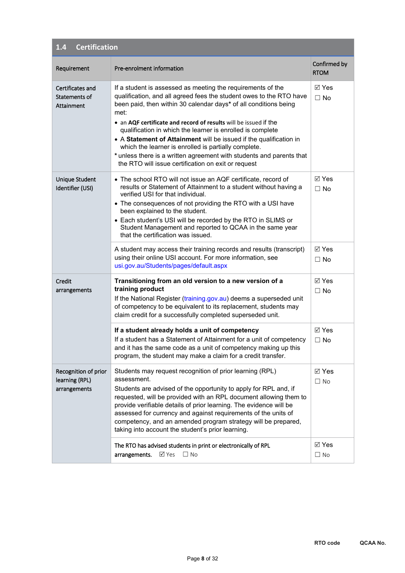| <b>Certification</b><br>1.4                            |                                                                                                                                                                                                                                                                                                                                                                                                                                                                                                                                                                                                               |                                              |
|--------------------------------------------------------|---------------------------------------------------------------------------------------------------------------------------------------------------------------------------------------------------------------------------------------------------------------------------------------------------------------------------------------------------------------------------------------------------------------------------------------------------------------------------------------------------------------------------------------------------------------------------------------------------------------|----------------------------------------------|
| Requirement                                            | Pre-enrolment information                                                                                                                                                                                                                                                                                                                                                                                                                                                                                                                                                                                     | Confirmed by<br><b>RTOM</b>                  |
| Certificates and<br>Statements of<br>Attainment        | If a student is assessed as meeting the requirements of the<br>qualification, and all agreed fees the student owes to the RTO have<br>been paid, then within 30 calendar days* of all conditions being<br>met:<br>• an AQF certificate and record of results will be issued if the<br>qualification in which the learner is enrolled is complete<br>• A Statement of Attainment will be issued if the qualification in<br>which the learner is enrolled is partially complete.<br>* unless there is a written agreement with students and parents that<br>the RTO will issue certification on exit or request | ⊠ Yes<br>$\Box$ No                           |
| Unique Student<br>Identifier (USI)                     | • The school RTO will not issue an AQF certificate, record of<br>results or Statement of Attainment to a student without having a<br>verified USI for that individual.<br>• The consequences of not providing the RTO with a USI have<br>been explained to the student.<br>• Each student's USI will be recorded by the RTO in SLIMS or<br>Student Management and reported to QCAA in the same year<br>that the certification was issued.<br>A student may access their training records and results (transcript)                                                                                             | <b>⊠</b> Yes<br>$\Box$ No<br>$\boxtimes$ Yes |
|                                                        | using their online USI account. For more information, see<br>usi.gov.au/Students/pages/default.aspx                                                                                                                                                                                                                                                                                                                                                                                                                                                                                                           | $\Box$ No                                    |
| Credit<br>arrangements                                 | Transitioning from an old version to a new version of a<br>training product<br>If the National Register (training.gov.au) deems a superseded unit<br>of competency to be equivalent to its replacement, students may<br>claim credit for a successfully completed superseded unit.                                                                                                                                                                                                                                                                                                                            | $\boxtimes$ Yes<br>$\Box$ No                 |
|                                                        | If a student already holds a unit of competency<br>If a student has a Statement of Attainment for a unit of competency<br>and it has the same code as a unit of competency making up this<br>program, the student may make a claim for a credit transfer.                                                                                                                                                                                                                                                                                                                                                     | <b>⊠</b> Yes<br>$\Box$ No                    |
| Recognition of prior<br>learning (RPL)<br>arrangements | Students may request recognition of prior learning (RPL)<br>assessment.<br>Students are advised of the opportunity to apply for RPL and, if<br>requested, will be provided with an RPL document allowing them to<br>provide verifiable details of prior learning. The evidence will be<br>assessed for currency and against requirements of the units of<br>competency, and an amended program strategy will be prepared,<br>taking into account the student's prior learning.                                                                                                                                | $\boxtimes$ Yes<br>$\Box$ No                 |
|                                                        | The RTO has advised students in print or electronically of RPL<br><b>⊠</b> Yes<br>$\square$ No<br>arrangements.                                                                                                                                                                                                                                                                                                                                                                                                                                                                                               | $\boxtimes$ Yes<br>$\Box$ No                 |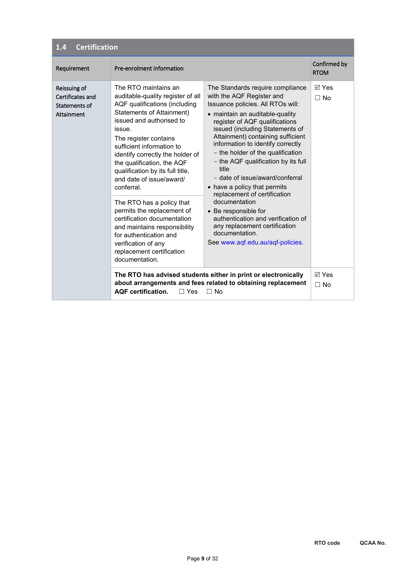| <b>Certification</b><br>1.4                                     |                                                                                                                                                                                                                                                                                                                                                                                                                                                                                                                                                                                               |                                                                                                                                                                                                                                                                                                                                                                                                                                                                                                                                                                                                                                                    |                             |
|-----------------------------------------------------------------|-----------------------------------------------------------------------------------------------------------------------------------------------------------------------------------------------------------------------------------------------------------------------------------------------------------------------------------------------------------------------------------------------------------------------------------------------------------------------------------------------------------------------------------------------------------------------------------------------|----------------------------------------------------------------------------------------------------------------------------------------------------------------------------------------------------------------------------------------------------------------------------------------------------------------------------------------------------------------------------------------------------------------------------------------------------------------------------------------------------------------------------------------------------------------------------------------------------------------------------------------------------|-----------------------------|
| Requirement                                                     | Pre-enrolment information                                                                                                                                                                                                                                                                                                                                                                                                                                                                                                                                                                     |                                                                                                                                                                                                                                                                                                                                                                                                                                                                                                                                                                                                                                                    | Confirmed by<br><b>RTOM</b> |
| Reissuing of<br>Certificates and<br>Statements of<br>Attainment | The RTO maintains an<br>auditable-quality register of all<br>AQF qualifications (including<br>Statements of Attainment)<br>issued and authorised to<br>issue.<br>The register contains<br>sufficient information to<br>identify correctly the holder of<br>the qualification, the AQF<br>qualification by its full title,<br>and date of issue/award/<br>conferral.<br>The RTO has a policy that<br>permits the replacement of<br>certification documentation<br>and maintains responsibility<br>for authentication and<br>verification of any<br>replacement certification<br>documentation. | The Standards require compliance<br>with the AQF Register and<br>Issuance policies. All RTOs will:<br>• maintain an auditable-quality<br>register of AQF qualifications<br>issued (including Statements of<br>Attainment) containing sufficient<br>information to identify correctly<br>- the holder of the qualification<br>- the AQF qualification by its full<br>title<br>- date of issue/award/conferral<br>• have a policy that permits<br>replacement of certification<br>documentation<br>• Be responsible for<br>authentication and verification of<br>any replacement certification<br>documentation.<br>See www.aqf.edu.au/aqf-policies. | ା Yes<br>$\Box$ No          |
|                                                                 | <b>AOF</b> certification.<br>$\Box$ Yes                                                                                                                                                                                                                                                                                                                                                                                                                                                                                                                                                       | The RTO has advised students either in print or electronically<br>about arrangements and fees related to obtaining replacement<br>$\Box$ No                                                                                                                                                                                                                                                                                                                                                                                                                                                                                                        | <b>⊠</b> Yes<br>$\Box$ No   |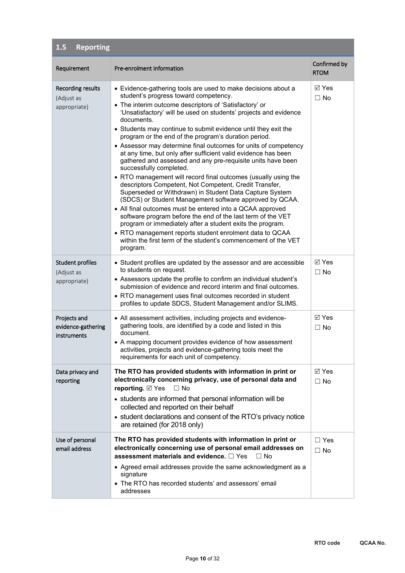| <b>Reporting</b><br>1.5                                |                                                                                                                                                                                                                                                                                                                                                                                                                                                                                                                                                                                                                                                                                                                                                                                                                                                                                                                                                                                                                                                                                                                                                                                                 |                              |
|--------------------------------------------------------|-------------------------------------------------------------------------------------------------------------------------------------------------------------------------------------------------------------------------------------------------------------------------------------------------------------------------------------------------------------------------------------------------------------------------------------------------------------------------------------------------------------------------------------------------------------------------------------------------------------------------------------------------------------------------------------------------------------------------------------------------------------------------------------------------------------------------------------------------------------------------------------------------------------------------------------------------------------------------------------------------------------------------------------------------------------------------------------------------------------------------------------------------------------------------------------------------|------------------------------|
| Requirement                                            | Pre-enrolment information                                                                                                                                                                                                                                                                                                                                                                                                                                                                                                                                                                                                                                                                                                                                                                                                                                                                                                                                                                                                                                                                                                                                                                       | Confirmed by<br><b>RTOM</b>  |
| <b>Recording results</b><br>(Adjust as<br>appropriate) | • Evidence-gathering tools are used to make decisions about a<br>student's progress toward competency.<br>• The interim outcome descriptors of 'Satisfactory' or<br>'Unsatisfactory' will be used on students' projects and evidence<br>documents.<br>• Students may continue to submit evidence until they exit the<br>program or the end of the program's duration period.<br>• Assessor may determine final outcomes for units of competency<br>at any time, but only after sufficient valid evidence has been<br>gathered and assessed and any pre-requisite units have been<br>successfully completed.<br>• RTO management will record final outcomes (usually using the<br>descriptors Competent, Not Competent, Credit Transfer,<br>Superseded or Withdrawn) in Student Data Capture System<br>(SDCS) or Student Management software approved by QCAA.<br>• All final outcomes must be entered into a QCAA approved<br>software program before the end of the last term of the VET<br>program or immediately after a student exits the program.<br>• RTO management reports student enrolment data to QCAA<br>within the first term of the student's commencement of the VET<br>program. | ⊠ Yes<br>$\Box$ No           |
| <b>Student profiles</b><br>(Adjust as<br>appropriate)  | • Student profiles are updated by the assessor and are accessible<br>to students on request.<br>• Assessors update the profile to confirm an individual student's<br>submission of evidence and record interim and final outcomes.<br>• RTO management uses final outcomes recorded in student<br>profiles to update SDCS, Student Management and/or SLIMS.                                                                                                                                                                                                                                                                                                                                                                                                                                                                                                                                                                                                                                                                                                                                                                                                                                     | $\boxtimes$ Yes<br>$\Box$ No |
| Projects and<br>evidence-gathering<br>instruments      | • All assessment activities, including projects and evidence-<br>gathering tools, are identified by a code and listed in this<br>document.<br>• A mapping document provides evidence of how assessment<br>activities, projects and evidence-gathering tools meet the<br>requirements for each unit of competency.                                                                                                                                                                                                                                                                                                                                                                                                                                                                                                                                                                                                                                                                                                                                                                                                                                                                               | ⊠ Yes<br>$\Box$ No           |
| Data privacy and<br>reporting                          | The RTO has provided students with information in print or<br>electronically concerning privacy, use of personal data and<br>reporting. ⊠ Yes<br>$\Box$ No<br>• students are informed that personal information will be<br>collected and reported on their behalf<br>• student declarations and consent of the RTO's privacy notice<br>are retained (for 2018 only)                                                                                                                                                                                                                                                                                                                                                                                                                                                                                                                                                                                                                                                                                                                                                                                                                             | $\nabla$ Yes<br>$\Box$ No    |
| Use of personal<br>email address                       | The RTO has provided students with information in print or<br>electronically concerning use of personal email addresses on<br>assessment materials and evidence. $\Box$ Yes<br>$\Box$ No<br>• Agreed email addresses provide the same acknowledgment as a<br>signature<br>• The RTO has recorded students' and assessors' email<br>addresses                                                                                                                                                                                                                                                                                                                                                                                                                                                                                                                                                                                                                                                                                                                                                                                                                                                    | $\Box$ Yes<br>$\Box$ No      |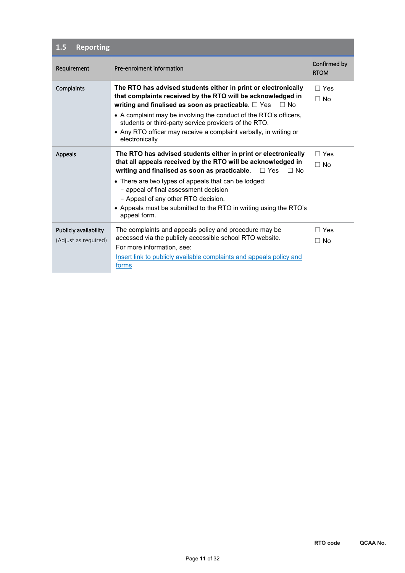| <b>Reporting</b><br>1.5                       |                                                                                                                                                                                                                                                                                                                                                                                                                                         |                             |
|-----------------------------------------------|-----------------------------------------------------------------------------------------------------------------------------------------------------------------------------------------------------------------------------------------------------------------------------------------------------------------------------------------------------------------------------------------------------------------------------------------|-----------------------------|
| Requirement                                   | Pre-enrolment information                                                                                                                                                                                                                                                                                                                                                                                                               | Confirmed by<br><b>RTOM</b> |
| Complaints                                    | The RTO has advised students either in print or electronically<br>that complaints received by the RTO will be acknowledged in<br>writing and finalised as soon as practicable. $\Box$ Yes<br>$\Box$ No<br>• A complaint may be involving the conduct of the RTO's officers,<br>students or third-party service providers of the RTO.<br>• Any RTO officer may receive a complaint verbally, in writing or<br>electronically             | $\Box$ Yes<br>$\Box$ No     |
| Appeals                                       | The RTO has advised students either in print or electronically<br>that all appeals received by the RTO will be acknowledged in<br>writing and finalised as soon as practicable.<br>$\Box$ Yes<br>$\Box$ No<br>• There are two types of appeals that can be lodged:<br>- appeal of final assessment decision<br>- Appeal of any other RTO decision.<br>• Appeals must be submitted to the RTO in writing using the RTO's<br>appeal form. | $\Box$ Yes<br>$\Box$ No     |
| Publicly availability<br>(Adjust as required) | The complaints and appeals policy and procedure may be<br>accessed via the publicly accessible school RTO website.<br>For more information, see:<br>Insert link to publicly available complaints and appeals policy and<br>forms                                                                                                                                                                                                        | $\Box$ Yes<br>$\Box$ No     |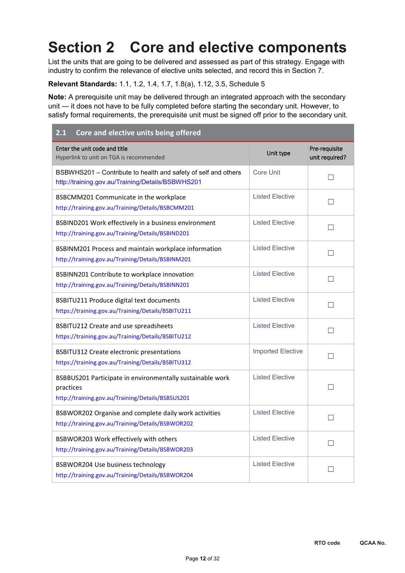# **Section 2 Core and elective components**

List the units that are going to be delivered and assessed as part of this strategy. Engage with industry to confirm the relevance of elective units selected, and record this in Section 7.

#### **Relevant Standards:** 1.1, 1.2, 1.4, 1.7, 1.8(a), 1.12, 3.5, Schedule 5

**Note:** A prerequisite unit may be delivered through an integrated approach with the secondary unit — it does not have to be fully completed before starting the secondary unit. However, to satisfy formal requirements, the prerequisite unit must be signed off prior to the secondary unit.

| Core and elective units being offered<br>2.1                                                                                |                          |                                 |
|-----------------------------------------------------------------------------------------------------------------------------|--------------------------|---------------------------------|
| Enter the unit code and title<br>Hyperlink to unit on TGA is recommended                                                    | Unit type                | Pre-requisite<br>unit required? |
| BSBWHS201 - Contribute to health and safety of self and others<br>http://training.gov.au/Training/Details/BSBWHS201         | Core Unit                | П                               |
| BSBCMM201 Communicate in the workplace<br>http://training.gov.au/Training/Details/BSBCMM201                                 | <b>Listed Elective</b>   | П                               |
| BSBIND201 Work effectively in a business environment<br>http://training.gov.au/Training/Details/BSBIND201                   | <b>Listed Elective</b>   | $\mathsf{L}$                    |
| BSBINM201 Process and maintain workplace information<br>http://training.gov.au/Training/Details/BSBINM201                   | <b>Listed Elective</b>   |                                 |
| BSBINN201 Contribute to workplace innovation<br>http://training.gov.au/Training/Details/BSBINN201                           | <b>Listed Elective</b>   | П                               |
| BSBITU211 Produce digital text documents<br>https://training.gov.au/Training/Details/BSBITU211                              | <b>Listed Elective</b>   |                                 |
| BSBITU212 Create and use spreadsheets<br>https://training.gov.au/Training/Details/BSBITU212                                 | <b>Listed Elective</b>   |                                 |
| <b>BSBITU312 Create electronic presentations</b><br>https://training.gov.au/Training/Details/BSBITU312                      | <b>Imported Elective</b> |                                 |
| BSBBUS201 Participate in environmentally sustainable work<br>practices<br>http://training.gov.au/Training/Details/BSBSUS201 | <b>Listed Elective</b>   |                                 |
| BSBWOR202 Organise and complete daily work activities<br>http://training.gov.au/Training/Details/BSBWOR202                  | <b>Listed Elective</b>   |                                 |
| BSBWOR203 Work effectively with others<br>http://training.gov.au/Training/Details/BSBWOR203                                 | <b>Listed Elective</b>   | H                               |
| BSBWOR204 Use business technology<br>http://training.gov.au/Training/Details/BSBWOR204                                      | <b>Listed Elective</b>   | $\mathsf{L}$                    |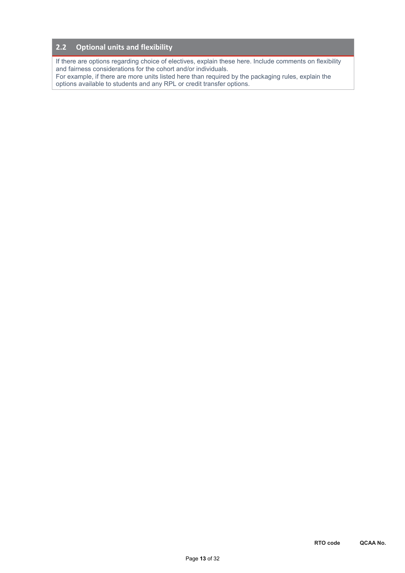#### **2.2 Optional units and flexibility**

If there are options regarding choice of electives, explain these here. Include comments on flexibility and fairness considerations for the cohort and/or individuals.

For example, if there are more units listed here than required by the packaging rules, explain the options available to students and any RPL or credit transfer options.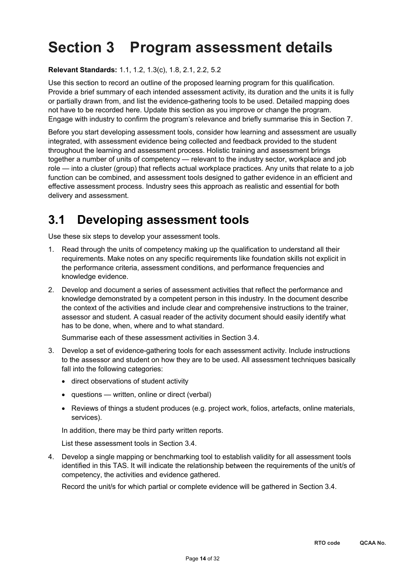# **Section 3 Program assessment details**

**Relevant Standards:** 1.1, 1.2, 1.3(c), 1.8, 2.1, 2.2, 5.2

Use this section to record an outline of the proposed learning program for this qualification. Provide a brief summary of each intended assessment activity, its duration and the units it is fully or partially drawn from, and list the evidence-gathering tools to be used. Detailed mapping does not have to be recorded here. Update this section as you improve or change the program. Engage with industry to confirm the program's relevance and briefly summarise this in Section 7.

Before you start developing assessment tools, consider how learning and assessment are usually integrated, with assessment evidence being collected and feedback provided to the student throughout the learning and assessment process. Holistic training and assessment brings together a number of units of competency — relevant to the industry sector, workplace and job role — into a cluster (group) that reflects actual workplace practices. Any units that relate to a job function can be combined, and assessment tools designed to gather evidence in an efficient and effective assessment process. Industry sees this approach as realistic and essential for both delivery and assessment.

## **3.1 Developing assessment tools**

Use these six steps to develop your assessment tools.

- 1. Read through the units of competency making up the qualification to understand all their requirements. Make notes on any specific requirements like foundation skills not explicit in the performance criteria, assessment conditions, and performance frequencies and knowledge evidence.
- 2. Develop and document a series of assessment activities that reflect the performance and knowledge demonstrated by a competent person in this industry. In the document describe the context of the activities and include clear and comprehensive instructions to the trainer, assessor and student. A casual reader of the activity document should easily identify what has to be done, when, where and to what standard.

Summarise each of these assessment activities in Section 3.4.

- 3. Develop a set of evidence-gathering tools for each assessment activity. Include instructions to the assessor and student on how they are to be used. All assessment techniques basically fall into the following categories:
	- direct observations of student activity
	- questions written, online or direct (verbal)
	- Reviews of things a student produces (e.g. project work, folios, artefacts, online materials, services).

In addition, there may be third party written reports.

List these assessment tools in Section 3.4.

4. Develop a single mapping or benchmarking tool to establish validity for all assessment tools identified in this TAS. It will indicate the relationship between the requirements of the unit/s of competency, the activities and evidence gathered.

Record the unit/s for which partial or complete evidence will be gathered in Section 3.4.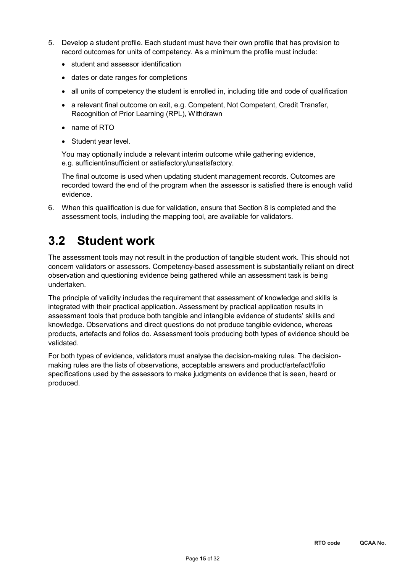- 5. Develop a student profile. Each student must have their own profile that has provision to record outcomes for units of competency. As a minimum the profile must include:
	- student and assessor identification
	- dates or date ranges for completions
	- all units of competency the student is enrolled in, including title and code of qualification
	- a relevant final outcome on exit, e.g. Competent, Not Competent, Credit Transfer, Recognition of Prior Learning (RPL), Withdrawn
	- name of RTO
	- Student year level.

You may optionally include a relevant interim outcome while gathering evidence, e.g. sufficient/insufficient or satisfactory/unsatisfactory.

The final outcome is used when updating student management records. Outcomes are recorded toward the end of the program when the assessor is satisfied there is enough valid evidence.

6. When this qualification is due for validation, ensure that Section 8 is completed and the assessment tools, including the mapping tool, are available for validators.

# **3.2 Student work**

The assessment tools may not result in the production of tangible student work. This should not concern validators or assessors. Competency-based assessment is substantially reliant on direct observation and questioning evidence being gathered while an assessment task is being undertaken.

The principle of validity includes the requirement that assessment of knowledge and skills is integrated with their practical application. Assessment by practical application results in assessment tools that produce both tangible and intangible evidence of students' skills and knowledge. Observations and direct questions do not produce tangible evidence, whereas products, artefacts and folios do. Assessment tools producing both types of evidence should be validated.

For both types of evidence, validators must analyse the decision-making rules. The decisionmaking rules are the lists of observations, acceptable answers and product/artefact/folio specifications used by the assessors to make judgments on evidence that is seen, heard or produced.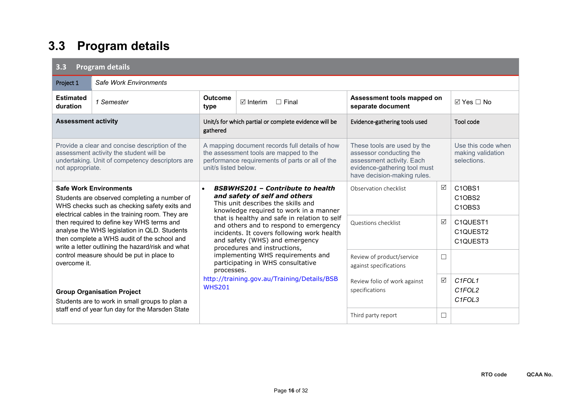| <b>Program details</b><br>3.3                                                                                                                                                     |                                                                                                                                                                                               |                                                                                                                                                                                                                                                                                                                                                                |                                                                                                                                             |                                                                                                                                                    |            |                                                                                                       |  |  |  |
|-----------------------------------------------------------------------------------------------------------------------------------------------------------------------------------|-----------------------------------------------------------------------------------------------------------------------------------------------------------------------------------------------|----------------------------------------------------------------------------------------------------------------------------------------------------------------------------------------------------------------------------------------------------------------------------------------------------------------------------------------------------------------|---------------------------------------------------------------------------------------------------------------------------------------------|----------------------------------------------------------------------------------------------------------------------------------------------------|------------|-------------------------------------------------------------------------------------------------------|--|--|--|
| Project 1                                                                                                                                                                         | Safe Work Environments                                                                                                                                                                        |                                                                                                                                                                                                                                                                                                                                                                |                                                                                                                                             |                                                                                                                                                    |            |                                                                                                       |  |  |  |
| <b>Estimated</b><br>duration                                                                                                                                                      | 1 Semester                                                                                                                                                                                    | <b>Outcome</b><br>Assessment tools mapped on<br>$\boxtimes$ Interim<br>$\Box$ Final<br>separate document<br>type                                                                                                                                                                                                                                               |                                                                                                                                             |                                                                                                                                                    | ⊠ Yes □ No |                                                                                                       |  |  |  |
| <b>Assessment activity</b>                                                                                                                                                        |                                                                                                                                                                                               | gathered                                                                                                                                                                                                                                                                                                                                                       | Unit/s for which partial or complete evidence will be                                                                                       | Evidence-gathering tools used                                                                                                                      |            | Tool code                                                                                             |  |  |  |
| Provide a clear and concise description of the<br>assessment activity the student will be<br>undertaking. Unit of competency descriptors are<br>not appropriate.                  |                                                                                                                                                                                               | unit/s listed below.                                                                                                                                                                                                                                                                                                                                           | A mapping document records full details of how<br>the assessment tools are mapped to the<br>performance requirements of parts or all of the | These tools are used by the<br>assessor conducting the<br>assessment activity. Each<br>evidence-gathering tool must<br>have decision-making rules. |            | Use this code when<br>making validation<br>selections.                                                |  |  |  |
| <b>Safe Work Environments</b><br>Students are observed completing a number of<br>WHS checks such as checking safety exits and<br>electrical cables in the training room. They are |                                                                                                                                                                                               | <b>BSBWHS201 - Contribute to health</b><br>and safety of self and others<br>This unit describes the skills and<br>knowledge required to work in a manner                                                                                                                                                                                                       |                                                                                                                                             | Observation checklist                                                                                                                              | ☑          | C <sub>1</sub> OBS <sub>1</sub><br>C <sub>1</sub> OBS <sub>2</sub><br>C <sub>1</sub> OBS <sub>3</sub> |  |  |  |
|                                                                                                                                                                                   | then required to define key WHS terms and<br>analyse the WHS legislation in QLD. Students<br>then complete a WHS audit of the school and<br>write a letter outlining the hazard/risk and what | that is healthy and safe in relation to self<br>and others and to respond to emergency<br>incidents. It covers following work health<br>and safety (WHS) and emergency<br>procedures and instructions,<br>implementing WHS requirements and<br>participating in WHS consultative<br>processes.<br>http://training.gov.au/Training/Details/BSB<br><b>WHS201</b> |                                                                                                                                             | Questions checklist                                                                                                                                | ☑          | C1QUEST1<br>C <sub>1</sub> QUEST <sub>2</sub><br>C1QUEST3                                             |  |  |  |
| overcome it.                                                                                                                                                                      | control measure should be put in place to                                                                                                                                                     |                                                                                                                                                                                                                                                                                                                                                                |                                                                                                                                             | Review of product/service<br>against specifications                                                                                                | $\Box$     |                                                                                                       |  |  |  |
|                                                                                                                                                                                   | <b>Group Organisation Project</b><br>Students are to work in small groups to plan a                                                                                                           |                                                                                                                                                                                                                                                                                                                                                                |                                                                                                                                             | Review folio of work against<br>specifications                                                                                                     | ☑          | C1FOL1<br>C <sub>1</sub> FOL <sub>2</sub><br>C <sub>1</sub> FOL <sub>3</sub>                          |  |  |  |
|                                                                                                                                                                                   | staff end of year fun day for the Marsden State                                                                                                                                               |                                                                                                                                                                                                                                                                                                                                                                |                                                                                                                                             | Third party report                                                                                                                                 | □          |                                                                                                       |  |  |  |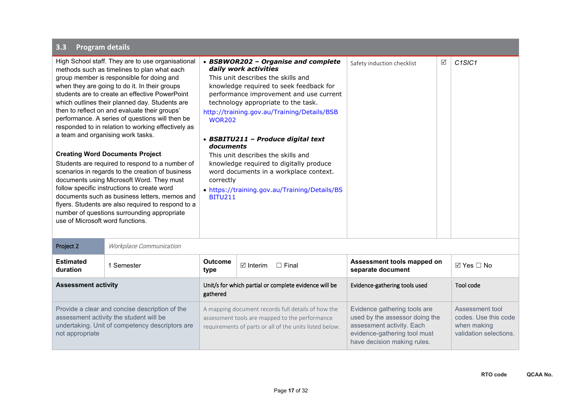| High School staff. They are to use organisational<br>daily work activities<br>methods such as timelines to plan what each<br>group member is responsible for doing and<br>when they are going to do it. In their groups<br>students are to create an effective PowerPoint<br>which outlines their planned day. Students are<br>then to reflect on and evaluate their groups'<br>performance. A series of questions will then be<br><b>WOR202</b><br>responded to in relation to working effectively as<br>a team and organising work tasks.<br>documents<br><b>Creating Word Documents Project</b><br>Students are required to respond to a number of<br>scenarios in regards to the creation of business<br>documents using Microsoft Word. They must<br>correctly<br>follow specific instructions to create word<br>documents such as business letters, memos and<br><b>BITU211</b><br>flyers. Students are also required to respond to a<br>number of questions surrounding appropriate<br>use of Microsoft word functions. |                                | • BSBWOR202 - Organise and complete<br>This unit describes the skills and<br>knowledge required to seek feedback for<br>performance improvement and use current<br>technology appropriate to the task.<br>http://training.gov.au/Training/Details/BSB<br>• BSBITU211 - Produce digital text<br>This unit describes the skills and<br>knowledge required to digitally produce<br>word documents in a workplace context.<br>. https://training.gov.au/Training/Details/BS | Safety induction checklist          | $\triangledown$                                                                                                                                            | C <sub>1</sub> SIC <sub>1</sub> |                                                                                  |
|--------------------------------------------------------------------------------------------------------------------------------------------------------------------------------------------------------------------------------------------------------------------------------------------------------------------------------------------------------------------------------------------------------------------------------------------------------------------------------------------------------------------------------------------------------------------------------------------------------------------------------------------------------------------------------------------------------------------------------------------------------------------------------------------------------------------------------------------------------------------------------------------------------------------------------------------------------------------------------------------------------------------------------|--------------------------------|-------------------------------------------------------------------------------------------------------------------------------------------------------------------------------------------------------------------------------------------------------------------------------------------------------------------------------------------------------------------------------------------------------------------------------------------------------------------------|-------------------------------------|------------------------------------------------------------------------------------------------------------------------------------------------------------|---------------------------------|----------------------------------------------------------------------------------|
| Project 2                                                                                                                                                                                                                                                                                                                                                                                                                                                                                                                                                                                                                                                                                                                                                                                                                                                                                                                                                                                                                      | <b>Workplace Communication</b> |                                                                                                                                                                                                                                                                                                                                                                                                                                                                         |                                     |                                                                                                                                                            |                                 |                                                                                  |
| <b>Estimated</b><br>duration                                                                                                                                                                                                                                                                                                                                                                                                                                                                                                                                                                                                                                                                                                                                                                                                                                                                                                                                                                                                   | 1 Semester                     | <b>Outcome</b><br>type                                                                                                                                                                                                                                                                                                                                                                                                                                                  | $\boxtimes$ Interim<br>$\Box$ Final | Assessment tools mapped on<br>separate document                                                                                                            |                                 | $\boxtimes$ Yes $\Box$ No                                                        |
| <b>Assessment activity</b>                                                                                                                                                                                                                                                                                                                                                                                                                                                                                                                                                                                                                                                                                                                                                                                                                                                                                                                                                                                                     |                                | Unit/s for which partial or complete evidence will be<br>gathered                                                                                                                                                                                                                                                                                                                                                                                                       |                                     | Evidence-gathering tools used                                                                                                                              |                                 | <b>Tool code</b>                                                                 |
| Provide a clear and concise description of the<br>assessment activity the student will be<br>undertaking. Unit of competency descriptors are<br>not appropriate                                                                                                                                                                                                                                                                                                                                                                                                                                                                                                                                                                                                                                                                                                                                                                                                                                                                |                                | A mapping document records full details of how the<br>assessment tools are mapped to the performance<br>requirements of parts or all of the units listed below.                                                                                                                                                                                                                                                                                                         |                                     | Evidence gathering tools are<br>used by the assessor doing the<br>assessment activity. Each<br>evidence-gathering tool must<br>have decision making rules. |                                 | Assessment tool<br>codes. Use this code<br>when making<br>validation selections. |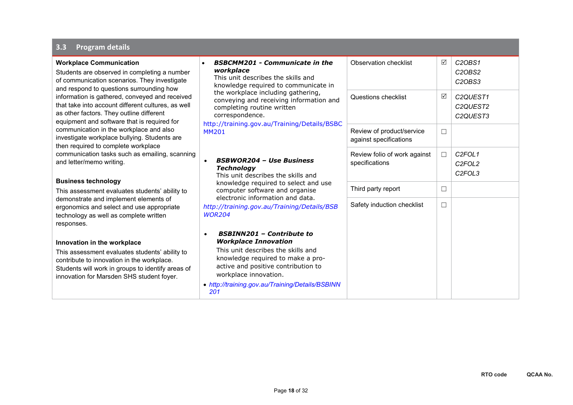| <b>Workplace Communication</b><br>Students are observed in completing a number<br>of communication scenarios. They investigate<br>and respond to questions surrounding how<br>information is gathered, conveyed and received<br>that take into account different cultures, as well<br>as other factors. They outline different<br>equipment and software that is required for | <b>BSBCMM201 - Communicate in the</b><br>workplace<br>This unit describes the skills and<br>knowledge required to communicate in<br>the workplace including gathering,<br>conveying and receiving information and<br>completing routine written<br>correspondence.<br>http://training.gov.au/Training/Details/BSBC | <b>Observation checklist</b><br>Questions checklist | ☑<br>☑ | C2OBS1<br>C <sub>2</sub> OBS <sub>2</sub><br>C <sub>2</sub> OBS <sub>3</sub><br>C2QUEST1<br>C2QUEST2<br>C2QUEST3 |
|-------------------------------------------------------------------------------------------------------------------------------------------------------------------------------------------------------------------------------------------------------------------------------------------------------------------------------------------------------------------------------|--------------------------------------------------------------------------------------------------------------------------------------------------------------------------------------------------------------------------------------------------------------------------------------------------------------------|-----------------------------------------------------|--------|------------------------------------------------------------------------------------------------------------------|
| communication in the workplace and also<br>investigate workplace bullying. Students are<br>then required to complete workplace<br>communication tasks such as emailing, scanning<br>and letter/memo writing.                                                                                                                                                                  | <b>MM201</b>                                                                                                                                                                                                                                                                                                       | Review of product/service<br>against specifications | □      |                                                                                                                  |
|                                                                                                                                                                                                                                                                                                                                                                               | <b>BSBWOR204 - Use Business</b><br>$\bullet$<br><b>Technology</b><br>This unit describes the skills and                                                                                                                                                                                                            | Review folio of work against<br>specifications      | $\Box$ | C <sub>2</sub> FOL <sub>1</sub><br>C <sub>2FOL2</sub><br>C <sub>2</sub> FOL <sub>3</sub>                         |
| <b>Business technology</b><br>This assessment evaluates students' ability to                                                                                                                                                                                                                                                                                                  | knowledge required to select and use<br>computer software and organise                                                                                                                                                                                                                                             | Third party report                                  | □      |                                                                                                                  |
| demonstrate and implement elements of<br>ergonomics and select and use appropriate<br>technology as well as complete written<br>responses.                                                                                                                                                                                                                                    | electronic information and data.<br>http://training.gov.au/Training/Details/BSB<br><b>WOR204</b>                                                                                                                                                                                                                   | Safety induction checklist                          | □      |                                                                                                                  |
| Innovation in the workplace<br>This assessment evaluates students' ability to<br>contribute to innovation in the workplace.<br>Students will work in groups to identify areas of<br>innovation for Marsden SHS student foyer.                                                                                                                                                 | <b>BSBINN201 - Contribute to</b><br>$\bullet$<br><b>Workplace Innovation</b><br>This unit describes the skills and<br>knowledge required to make a pro-<br>active and positive contribution to<br>workplace innovation.<br>• http://training.gov.au/Training/Details/BSBINN<br>201                                 |                                                     |        |                                                                                                                  |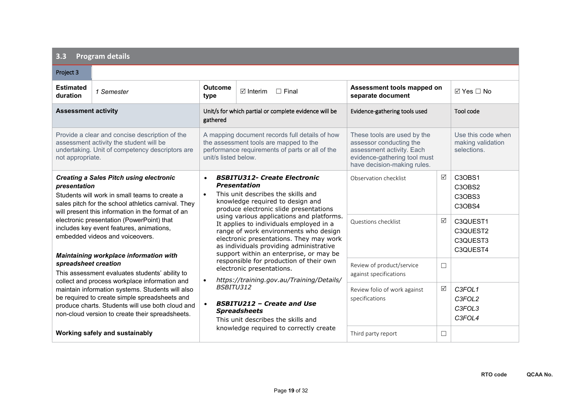| Project 3                                                                                                                                                                                                                                                                                                                                               |                                                                                          |                                                                                                                                                                                                                                                                |                                                                                                                                                                                |                                                     |                                                        |                                              |
|---------------------------------------------------------------------------------------------------------------------------------------------------------------------------------------------------------------------------------------------------------------------------------------------------------------------------------------------------------|------------------------------------------------------------------------------------------|----------------------------------------------------------------------------------------------------------------------------------------------------------------------------------------------------------------------------------------------------------------|--------------------------------------------------------------------------------------------------------------------------------------------------------------------------------|-----------------------------------------------------|--------------------------------------------------------|----------------------------------------------|
| <b>Estimated</b><br>duration                                                                                                                                                                                                                                                                                                                            | 1 Semester                                                                               | <b>Outcome</b><br>type                                                                                                                                                                                                                                         | $\boxtimes$ Interim<br>$\Box$ Final                                                                                                                                            | Assessment tools mapped on<br>separate document     |                                                        | $\boxtimes$ Yes $\Box$ No                    |
| <b>Assessment activity</b>                                                                                                                                                                                                                                                                                                                              |                                                                                          | gathered                                                                                                                                                                                                                                                       | Unit/s for which partial or complete evidence will be                                                                                                                          | Evidence-gathering tools used                       |                                                        | Tool code                                    |
| Provide a clear and concise description of the<br>assessment activity the student will be<br>undertaking. Unit of competency descriptors are<br>unit/s listed below.<br>not appropriate.                                                                                                                                                                |                                                                                          | A mapping document records full details of how<br>the assessment tools are mapped to the<br>performance requirements of parts or all of the                                                                                                                    | These tools are used by the<br>assessor conducting the<br>assessment activity. Each<br>evidence-gathering tool must<br>have decision-making rules.                             |                                                     | Use this code when<br>making validation<br>selections. |                                              |
| <b>Creating a Sales Pitch using electronic</b><br>presentation<br>Students will work in small teams to create a<br>sales pitch for the school athletics carnival. They<br>will present this information in the format of an<br>electronic presentation (PowerPoint) that<br>includes key event features, animations,<br>embedded videos and voiceovers. |                                                                                          | $\bullet$<br>$\bullet$                                                                                                                                                                                                                                         | <b>BSBITU312- Create Electronic</b><br><b>Presentation</b><br>This unit describes the skills and<br>knowledge required to design and<br>produce electronic slide presentations | Observation checklist                               | $\triangledown$                                        | C3OBS1<br>C3OBS2<br>C3OBS3<br>C3OBS4         |
|                                                                                                                                                                                                                                                                                                                                                         |                                                                                          | using various applications and platforms.<br>It applies to individuals employed in a<br>range of work environments who design<br>electronic presentations. They may work<br>as individuals providing administrative<br>support within an enterprise, or may be |                                                                                                                                                                                | Questions checklist                                 | $\triangledown$                                        | C3QUEST1<br>C3QUEST2<br>C3QUEST3<br>C3QUEST4 |
| spreadsheet creation                                                                                                                                                                                                                                                                                                                                    | Maintaining workplace information with<br>This assessment evaluates students' ability to | responsible for production of their own<br>electronic presentations.<br>https://training.gov.au/Training/Details/                                                                                                                                              |                                                                                                                                                                                | Review of product/service<br>against specifications | $\Box$                                                 |                                              |
| $\bullet$<br>collect and process workplace information and<br>maintain information systems. Students will also<br>be required to create simple spreadsheets and<br>$\bullet$<br>produce charts. Students will use both cloud and<br>non-cloud version to create their spreadsheets.                                                                     |                                                                                          | BSBITU312                                                                                                                                                                                                                                                      | <b>BSBITU212 - Create and Use</b><br><b>Spreadsheets</b><br>This unit describes the skills and                                                                                 | Review folio of work against<br>specifications      | $\sqrt{}$                                              | C3FOL1<br>C3FOL2<br>C3FOL3<br>C3FOL4         |
|                                                                                                                                                                                                                                                                                                                                                         | Working safely and sustainably                                                           |                                                                                                                                                                                                                                                                | knowledge required to correctly create                                                                                                                                         | Third party report                                  | □                                                      |                                              |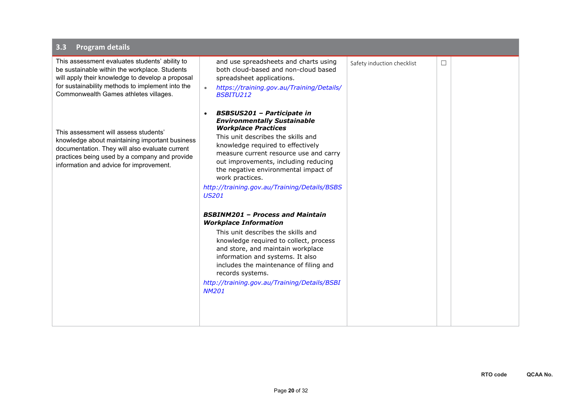| This assessment evaluates students' ability to<br>be sustainable within the workplace. Students<br>will apply their knowledge to develop a proposal<br>for sustainability methods to implement into the<br>Commonwealth Games athletes villages. | and use spreadsheets and charts using<br>both cloud-based and non-cloud based<br>spreadsheet applications.<br>https://training.gov.au/Training/Details/<br><b>BSBITU212</b>                                                                                                                                                                                                                                                                                                                                                                                                                                                                                                                                                                                     | Safety induction checklist | □ |  |
|--------------------------------------------------------------------------------------------------------------------------------------------------------------------------------------------------------------------------------------------------|-----------------------------------------------------------------------------------------------------------------------------------------------------------------------------------------------------------------------------------------------------------------------------------------------------------------------------------------------------------------------------------------------------------------------------------------------------------------------------------------------------------------------------------------------------------------------------------------------------------------------------------------------------------------------------------------------------------------------------------------------------------------|----------------------------|---|--|
| This assessment will assess students'<br>knowledge about maintaining important business<br>documentation. They will also evaluate current<br>practices being used by a company and provide<br>information and advice for improvement.            | <b>BSBSUS201 - Participate in</b><br><b>Environmentally Sustainable</b><br><b>Workplace Practices</b><br>This unit describes the skills and<br>knowledge required to effectively<br>measure current resource use and carry<br>out improvements, including reducing<br>the negative environmental impact of<br>work practices.<br>http://training.gov.au/Training/Details/BSBS<br><b>US201</b><br><b>BSBINM201 - Process and Maintain</b><br><b>Workplace Information</b><br>This unit describes the skills and<br>knowledge required to collect, process<br>and store, and maintain workplace<br>information and systems. It also<br>includes the maintenance of filing and<br>records systems.<br>http://training.gov.au/Training/Details/BSBI<br><b>NM201</b> |                            |   |  |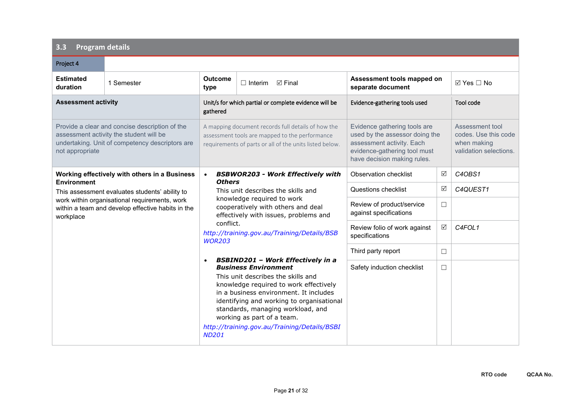| Project 4                                                                                                                                                       |                                                                                                    |                                                                                                                                                                                                                                                                                                                                                                                                |                                                       |                                                                                                                                                            |            |                                                                                  |
|-----------------------------------------------------------------------------------------------------------------------------------------------------------------|----------------------------------------------------------------------------------------------------|------------------------------------------------------------------------------------------------------------------------------------------------------------------------------------------------------------------------------------------------------------------------------------------------------------------------------------------------------------------------------------------------|-------------------------------------------------------|------------------------------------------------------------------------------------------------------------------------------------------------------------|------------|----------------------------------------------------------------------------------|
| <b>Estimated</b><br>duration                                                                                                                                    | 1 Semester                                                                                         | <b>Outcome</b><br>type                                                                                                                                                                                                                                                                                                                                                                         | $\Box$ Interim<br>$\triangledown$ Final               | Assessment tools mapped on<br>separate document                                                                                                            |            | $\boxtimes$ Yes $\Box$ No                                                        |
| <b>Assessment activity</b>                                                                                                                                      |                                                                                                    | gathered                                                                                                                                                                                                                                                                                                                                                                                       | Unit/s for which partial or complete evidence will be | Evidence-gathering tools used                                                                                                                              |            | Tool code                                                                        |
| Provide a clear and concise description of the<br>assessment activity the student will be<br>undertaking. Unit of competency descriptors are<br>not appropriate |                                                                                                    | A mapping document records full details of how the<br>assessment tools are mapped to the performance<br>requirements of parts or all of the units listed below.                                                                                                                                                                                                                                |                                                       | Evidence gathering tools are<br>used by the assessor doing the<br>assessment activity. Each<br>evidence-gathering tool must<br>have decision making rules. |            | Assessment tool<br>codes. Use this code<br>when making<br>validation selections. |
| <b>Environment</b>                                                                                                                                              | Working effectively with others in a Business                                                      | $\bullet$<br><b>Others</b>                                                                                                                                                                                                                                                                                                                                                                     | <b>BSBWOR203 - Work Effectively with</b>              | Observation checklist                                                                                                                                      | ☑          | C4OBS1                                                                           |
|                                                                                                                                                                 | This assessment evaluates students' ability to                                                     | This unit describes the skills and<br>knowledge required to work<br>cooperatively with others and deal<br>effectively with issues, problems and<br>conflict.<br>http://training.gov.au/Training/Details/BSB<br><b>WOR203</b>                                                                                                                                                                   |                                                       | Questions checklist                                                                                                                                        | ☑          | C4QUEST1                                                                         |
| workplace                                                                                                                                                       | work within organisational requirements, work<br>within a team and develop effective habits in the |                                                                                                                                                                                                                                                                                                                                                                                                |                                                       | Review of product/service<br>against specifications                                                                                                        | $\Box$     |                                                                                  |
|                                                                                                                                                                 |                                                                                                    |                                                                                                                                                                                                                                                                                                                                                                                                |                                                       | Review folio of work against<br>specifications                                                                                                             | $\sqrt{ }$ | C4FOL1                                                                           |
|                                                                                                                                                                 |                                                                                                    |                                                                                                                                                                                                                                                                                                                                                                                                |                                                       | Third party report                                                                                                                                         | $\Box$     |                                                                                  |
|                                                                                                                                                                 |                                                                                                    | <b>BSBIND201 - Work Effectively in a</b><br>$\bullet$<br><b>Business Environment</b><br>This unit describes the skills and<br>knowledge required to work effectively<br>in a business environment. It includes<br>identifying and working to organisational<br>standards, managing workload, and<br>working as part of a team.<br>http://training.gov.au/Training/Details/BSBI<br><b>ND201</b> |                                                       | Safety induction checklist                                                                                                                                 | $\Box$     |                                                                                  |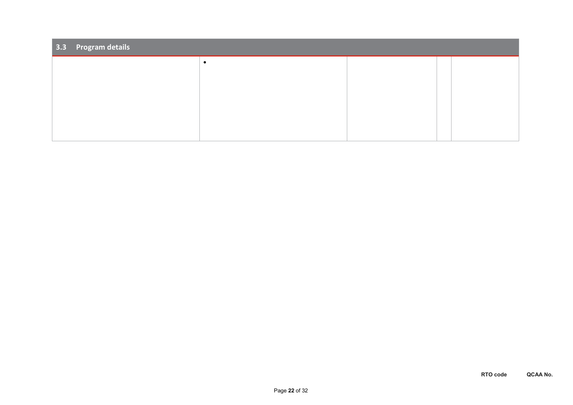| $\sqrt{3.3}$ Program details |  |  |  |  |  |  |  |  |
|------------------------------|--|--|--|--|--|--|--|--|
|                              |  |  |  |  |  |  |  |  |
|                              |  |  |  |  |  |  |  |  |
|                              |  |  |  |  |  |  |  |  |
|                              |  |  |  |  |  |  |  |  |
|                              |  |  |  |  |  |  |  |  |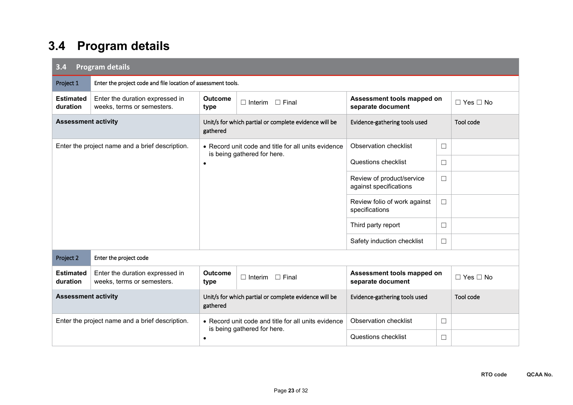| 3.4                          | <b>Program details</b>                                        |                                                                   |                                                                                    |                                                     |        |                      |  |  |  |
|------------------------------|---------------------------------------------------------------|-------------------------------------------------------------------|------------------------------------------------------------------------------------|-----------------------------------------------------|--------|----------------------|--|--|--|
| Project 1                    | Enter the project code and file location of assessment tools. |                                                                   |                                                                                    |                                                     |        |                      |  |  |  |
| <b>Estimated</b><br>duration | Enter the duration expressed in<br>weeks, terms or semesters. | <b>Outcome</b><br>type                                            | $\Box$ Interim $\Box$ Final                                                        | Assessment tools mapped on<br>separate document     |        | $\Box$ Yes $\Box$ No |  |  |  |
| <b>Assessment activity</b>   |                                                               | gathered                                                          | Unit/s for which partial or complete evidence will be                              | Evidence-gathering tools used                       |        | Tool code            |  |  |  |
|                              | Enter the project name and a brief description.               |                                                                   | • Record unit code and title for all units evidence<br>is being gathered for here. | <b>Observation checklist</b>                        | $\Box$ |                      |  |  |  |
|                              |                                                               | $\bullet$                                                         |                                                                                    | Questions checklist                                 | $\Box$ |                      |  |  |  |
|                              |                                                               |                                                                   |                                                                                    | Review of product/service<br>against specifications | $\Box$ |                      |  |  |  |
|                              |                                                               |                                                                   |                                                                                    | Review folio of work against<br>specifications      | $\Box$ |                      |  |  |  |
|                              |                                                               |                                                                   |                                                                                    | Third party report                                  | $\Box$ |                      |  |  |  |
|                              |                                                               |                                                                   |                                                                                    | Safety induction checklist                          | $\Box$ |                      |  |  |  |
| Project 2                    | Enter the project code                                        |                                                                   |                                                                                    |                                                     |        |                      |  |  |  |
| <b>Estimated</b><br>duration | Enter the duration expressed in<br>weeks, terms or semesters. | <b>Outcome</b><br>type                                            | $\Box$ Interim $\Box$ Final                                                        | Assessment tools mapped on<br>separate document     |        | $\Box$ Yes $\Box$ No |  |  |  |
| <b>Assessment activity</b>   |                                                               | Unit/s for which partial or complete evidence will be<br>gathered |                                                                                    | Evidence-gathering tools used                       |        | Tool code            |  |  |  |
|                              | Enter the project name and a brief description.               | • Record unit code and title for all units evidence               |                                                                                    | <b>Observation checklist</b>                        | $\Box$ |                      |  |  |  |
|                              |                                                               | is being gathered for here.<br>$\bullet$                          |                                                                                    | Questions checklist                                 | $\Box$ |                      |  |  |  |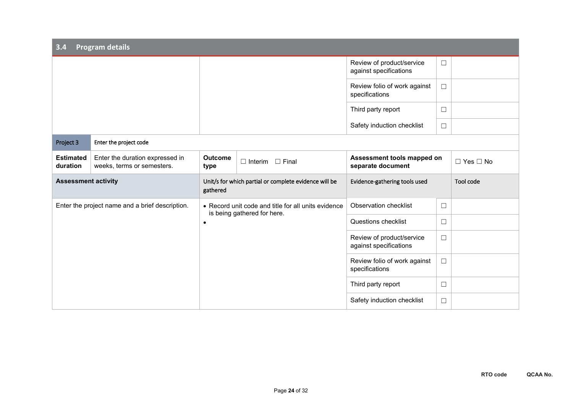| <b>Program details</b><br>3.4 |                                                                                                 |                                                                                    |                               |                                                     |           |                      |  |
|-------------------------------|-------------------------------------------------------------------------------------------------|------------------------------------------------------------------------------------|-------------------------------|-----------------------------------------------------|-----------|----------------------|--|
|                               |                                                                                                 |                                                                                    |                               | Review of product/service<br>against specifications | $\Box$    |                      |  |
|                               |                                                                                                 |                                                                                    |                               | Review folio of work against<br>specifications      | $\Box$    |                      |  |
|                               |                                                                                                 |                                                                                    |                               | Third party report                                  | $\Box$    |                      |  |
|                               |                                                                                                 |                                                                                    |                               | Safety induction checklist                          | $\Box$    |                      |  |
| Project 3                     | Enter the project code                                                                          |                                                                                    |                               |                                                     |           |                      |  |
| <b>Estimated</b><br>duration  | Enter the duration expressed in<br>weeks, terms or semesters.                                   | <b>Outcome</b><br>type                                                             | $\Box$ Interim $\Box$ Final   | Assessment tools mapped on<br>separate document     |           | $\Box$ Yes $\Box$ No |  |
|                               | <b>Assessment activity</b><br>Unit/s for which partial or complete evidence will be<br>gathered |                                                                                    | Evidence-gathering tools used |                                                     | Tool code |                      |  |
|                               | Enter the project name and a brief description.                                                 | • Record unit code and title for all units evidence<br>is being gathered for here. |                               | <b>Observation checklist</b>                        | $\Box$    |                      |  |
|                               |                                                                                                 | $\bullet$                                                                          |                               | Questions checklist                                 | $\Box$    |                      |  |
|                               |                                                                                                 |                                                                                    |                               | Review of product/service<br>against specifications | $\Box$    |                      |  |
|                               |                                                                                                 |                                                                                    |                               | Review folio of work against<br>specifications      | $\Box$    |                      |  |
|                               |                                                                                                 |                                                                                    |                               | Third party report                                  | $\Box$    |                      |  |
|                               |                                                                                                 |                                                                                    |                               | Safety induction checklist                          | $\Box$    |                      |  |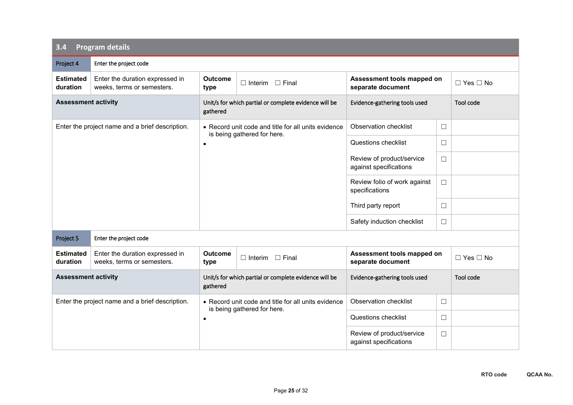| 3.4                          | <b>Program details</b>                                        |                                                                   |                                                                                    |                                                     |        |                      |  |  |  |
|------------------------------|---------------------------------------------------------------|-------------------------------------------------------------------|------------------------------------------------------------------------------------|-----------------------------------------------------|--------|----------------------|--|--|--|
| Project 4                    | Enter the project code                                        |                                                                   |                                                                                    |                                                     |        |                      |  |  |  |
| <b>Estimated</b><br>duration | Enter the duration expressed in<br>weeks, terms or semesters. | <b>Outcome</b><br>type                                            | $\Box$ Interim $\Box$ Final                                                        | Assessment tools mapped on<br>separate document     |        | $\Box$ Yes $\Box$ No |  |  |  |
| <b>Assessment activity</b>   |                                                               | gathered                                                          | Unit/s for which partial or complete evidence will be                              | Evidence-gathering tools used                       |        | Tool code            |  |  |  |
|                              | Enter the project name and a brief description.               |                                                                   | • Record unit code and title for all units evidence<br>is being gathered for here. | <b>Observation checklist</b>                        | $\Box$ |                      |  |  |  |
|                              |                                                               | $\bullet$                                                         |                                                                                    | Questions checklist                                 | $\Box$ |                      |  |  |  |
|                              |                                                               |                                                                   |                                                                                    | Review of product/service<br>against specifications | $\Box$ |                      |  |  |  |
|                              |                                                               |                                                                   |                                                                                    | Review folio of work against<br>specifications      | $\Box$ |                      |  |  |  |
|                              |                                                               |                                                                   |                                                                                    | Third party report                                  | $\Box$ |                      |  |  |  |
|                              |                                                               |                                                                   |                                                                                    | Safety induction checklist                          | $\Box$ |                      |  |  |  |
| Project 5                    | Enter the project code                                        |                                                                   |                                                                                    |                                                     |        |                      |  |  |  |
| <b>Estimated</b><br>duration | Enter the duration expressed in<br>weeks, terms or semesters. | <b>Outcome</b><br>type                                            | $\Box$ Interim<br>$\Box$ Final                                                     | Assessment tools mapped on<br>separate document     |        | $\Box$ Yes $\Box$ No |  |  |  |
| <b>Assessment activity</b>   |                                                               | Unit/s for which partial or complete evidence will be<br>gathered |                                                                                    | Evidence-gathering tools used                       |        | Tool code            |  |  |  |
|                              | Enter the project name and a brief description.               |                                                                   | • Record unit code and title for all units evidence<br>is being gathered for here. | <b>Observation checklist</b>                        | $\Box$ |                      |  |  |  |
|                              |                                                               | $\bullet$                                                         |                                                                                    | Questions checklist                                 | $\Box$ |                      |  |  |  |
|                              |                                                               |                                                                   |                                                                                    | Review of product/service<br>against specifications | $\Box$ |                      |  |  |  |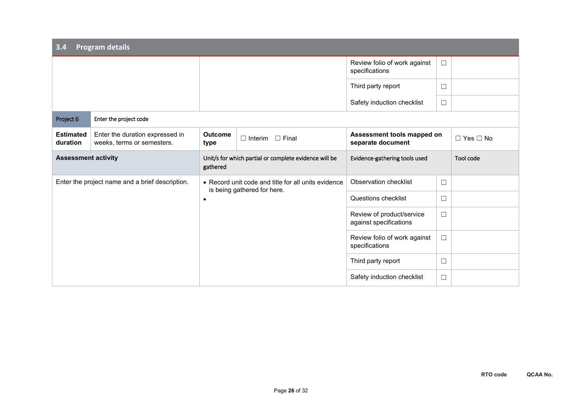| 3.4                          | <b>Program details</b>                                        |                        |                                                                                    |                                                     |        |                      |
|------------------------------|---------------------------------------------------------------|------------------------|------------------------------------------------------------------------------------|-----------------------------------------------------|--------|----------------------|
|                              |                                                               |                        |                                                                                    | Review folio of work against<br>specifications      | $\Box$ |                      |
|                              |                                                               |                        |                                                                                    | Third party report                                  | □      |                      |
|                              |                                                               |                        |                                                                                    | Safety induction checklist                          | $\Box$ |                      |
| Project 6                    | Enter the project code                                        |                        |                                                                                    |                                                     |        |                      |
| <b>Estimated</b><br>duration | Enter the duration expressed in<br>weeks, terms or semesters. | <b>Outcome</b><br>type | $\Box$ Interim $\Box$ Final                                                        | Assessment tools mapped on<br>separate document     |        | $\Box$ Yes $\Box$ No |
| <b>Assessment activity</b>   |                                                               | gathered               | Unit/s for which partial or complete evidence will be                              | Evidence-gathering tools used                       |        | Tool code            |
|                              | Enter the project name and a brief description.               |                        | • Record unit code and title for all units evidence<br>is being gathered for here. | Observation checklist                               | $\Box$ |                      |
|                              |                                                               | $\bullet$              |                                                                                    | Questions checklist                                 | □      |                      |
|                              |                                                               |                        |                                                                                    | Review of product/service<br>against specifications | $\Box$ |                      |
|                              |                                                               |                        |                                                                                    | Review folio of work against<br>specifications      | $\Box$ |                      |
|                              |                                                               |                        |                                                                                    | Third party report                                  | $\Box$ |                      |
|                              |                                                               |                        |                                                                                    | Safety induction checklist                          | $\Box$ |                      |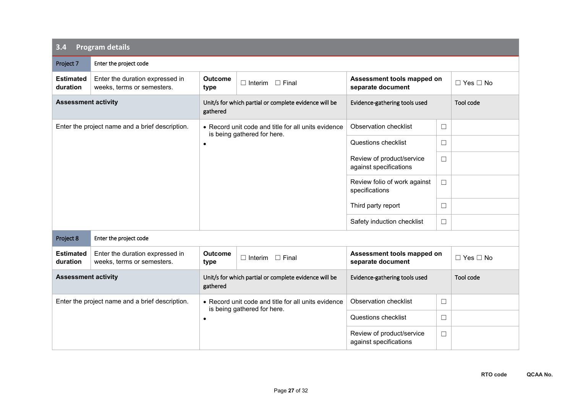| 3.4                                             | <b>Program details</b>                                        |                                                                   |                                                                                    |                                                     |        |                      |
|-------------------------------------------------|---------------------------------------------------------------|-------------------------------------------------------------------|------------------------------------------------------------------------------------|-----------------------------------------------------|--------|----------------------|
| Project 7                                       | Enter the project code                                        |                                                                   |                                                                                    |                                                     |        |                      |
| <b>Estimated</b><br>duration                    | Enter the duration expressed in<br>weeks, terms or semesters. | <b>Outcome</b><br>type                                            | $\Box$ Interim $\Box$ Final                                                        | Assessment tools mapped on<br>separate document     |        | $\Box$ Yes $\Box$ No |
| <b>Assessment activity</b>                      |                                                               | Unit/s for which partial or complete evidence will be<br>gathered |                                                                                    | Evidence-gathering tools used                       |        | Tool code            |
|                                                 | Enter the project name and a brief description.               |                                                                   | • Record unit code and title for all units evidence                                | Observation checklist                               | $\Box$ |                      |
|                                                 |                                                               | is being gathered for here.<br>$\bullet$                          |                                                                                    | Questions checklist                                 | $\Box$ |                      |
|                                                 |                                                               |                                                                   |                                                                                    | Review of product/service<br>against specifications | $\Box$ |                      |
|                                                 |                                                               |                                                                   |                                                                                    | Review folio of work against<br>specifications      | $\Box$ |                      |
|                                                 |                                                               |                                                                   |                                                                                    | Third party report                                  | □      |                      |
|                                                 |                                                               |                                                                   |                                                                                    | Safety induction checklist                          | $\Box$ |                      |
| Project 8                                       | Enter the project code                                        |                                                                   |                                                                                    |                                                     |        |                      |
| <b>Estimated</b><br>duration                    | Enter the duration expressed in<br>weeks, terms or semesters. | <b>Outcome</b><br>type                                            | $\Box$ Interim<br>$\Box$ Final                                                     | Assessment tools mapped on<br>separate document     |        | $\Box$ Yes $\Box$ No |
| <b>Assessment activity</b>                      |                                                               | Unit/s for which partial or complete evidence will be<br>gathered |                                                                                    | Evidence-gathering tools used                       |        | Tool code            |
| Enter the project name and a brief description. |                                                               |                                                                   | • Record unit code and title for all units evidence<br>is being gathered for here. | <b>Observation checklist</b>                        | $\Box$ |                      |
|                                                 |                                                               | $\bullet$                                                         |                                                                                    | Questions checklist                                 | $\Box$ |                      |
|                                                 |                                                               |                                                                   |                                                                                    | Review of product/service<br>against specifications | $\Box$ |                      |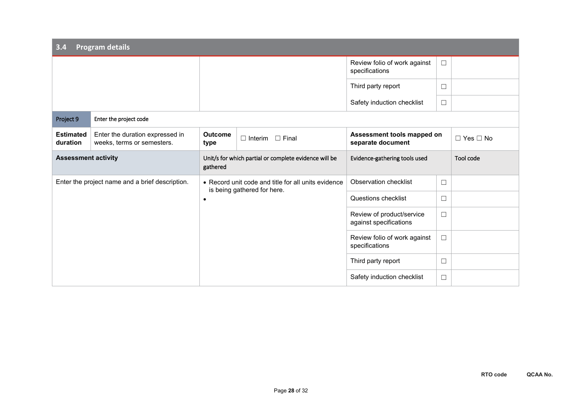| 3.4                                             | Program details                                               |                                                                                                 |  |                                                     |        |                      |
|-------------------------------------------------|---------------------------------------------------------------|-------------------------------------------------------------------------------------------------|--|-----------------------------------------------------|--------|----------------------|
|                                                 |                                                               |                                                                                                 |  | Review folio of work against<br>specifications      | $\Box$ |                      |
|                                                 |                                                               |                                                                                                 |  | Third party report                                  | $\Box$ |                      |
|                                                 |                                                               |                                                                                                 |  | Safety induction checklist                          | $\Box$ |                      |
| Project 9                                       | Enter the project code                                        |                                                                                                 |  |                                                     |        |                      |
| <b>Estimated</b><br>duration                    | Enter the duration expressed in<br>weeks, terms or semesters. | <b>Outcome</b><br>$\Box$ Final<br>$\Box$ Interim<br>type                                        |  | Assessment tools mapped on<br>separate document     |        | $\Box$ Yes $\Box$ No |
| <b>Assessment activity</b>                      |                                                               | Unit/s for which partial or complete evidence will be<br>gathered                               |  | Evidence-gathering tools used                       |        | Tool code            |
| Enter the project name and a brief description. |                                                               | • Record unit code and title for all units evidence<br>is being gathered for here.<br>$\bullet$ |  | Observation checklist                               | $\Box$ |                      |
|                                                 |                                                               |                                                                                                 |  | Questions checklist                                 | $\Box$ |                      |
|                                                 |                                                               |                                                                                                 |  | Review of product/service<br>against specifications | $\Box$ |                      |
|                                                 |                                                               |                                                                                                 |  | Review folio of work against<br>specifications      | $\Box$ |                      |
|                                                 |                                                               |                                                                                                 |  | Third party report                                  | $\Box$ |                      |
|                                                 |                                                               |                                                                                                 |  | Safety induction checklist                          | $\Box$ |                      |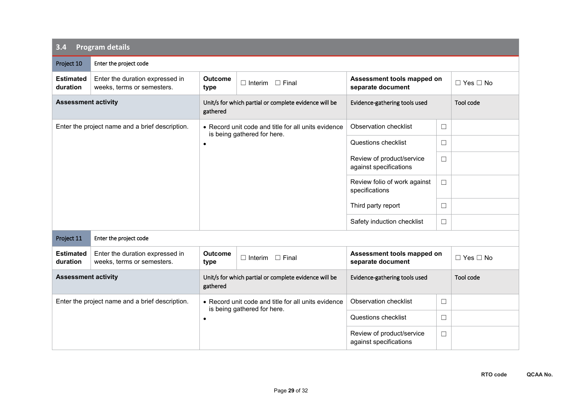| 3.4                                             | <b>Program details</b>                                        |                                                                   |                                                                                    |                                                     |        |                      |
|-------------------------------------------------|---------------------------------------------------------------|-------------------------------------------------------------------|------------------------------------------------------------------------------------|-----------------------------------------------------|--------|----------------------|
| Project 10                                      | Enter the project code                                        |                                                                   |                                                                                    |                                                     |        |                      |
| <b>Estimated</b><br>duration                    | Enter the duration expressed in<br>weeks, terms or semesters. | <b>Outcome</b><br>type                                            | $\Box$ Interim $\Box$ Final                                                        | Assessment tools mapped on<br>separate document     |        | $\Box$ Yes $\Box$ No |
| <b>Assessment activity</b>                      |                                                               | Unit/s for which partial or complete evidence will be<br>gathered |                                                                                    | Evidence-gathering tools used                       |        | Tool code            |
|                                                 | Enter the project name and a brief description.               |                                                                   | • Record unit code and title for all units evidence                                | Observation checklist                               | $\Box$ |                      |
|                                                 |                                                               | is being gathered for here.<br>$\bullet$                          |                                                                                    | Questions checklist                                 | $\Box$ |                      |
|                                                 |                                                               |                                                                   |                                                                                    | Review of product/service<br>against specifications | $\Box$ |                      |
|                                                 |                                                               |                                                                   |                                                                                    | Review folio of work against<br>specifications      | $\Box$ |                      |
|                                                 |                                                               |                                                                   |                                                                                    | Third party report                                  | □      |                      |
|                                                 |                                                               |                                                                   |                                                                                    | Safety induction checklist                          | $\Box$ |                      |
| Project 11                                      | Enter the project code                                        |                                                                   |                                                                                    |                                                     |        |                      |
| <b>Estimated</b><br>duration                    | Enter the duration expressed in<br>weeks, terms or semesters. | <b>Outcome</b><br>type                                            | $\Box$ Interim<br>$\Box$ Final                                                     | Assessment tools mapped on<br>separate document     |        | $\Box$ Yes $\Box$ No |
| <b>Assessment activity</b>                      |                                                               | Unit/s for which partial or complete evidence will be<br>gathered |                                                                                    | Evidence-gathering tools used                       |        | Tool code            |
| Enter the project name and a brief description. |                                                               |                                                                   | • Record unit code and title for all units evidence<br>is being gathered for here. | <b>Observation checklist</b>                        | $\Box$ |                      |
|                                                 |                                                               | $\bullet$                                                         |                                                                                    | Questions checklist                                 | $\Box$ |                      |
|                                                 |                                                               |                                                                   |                                                                                    | Review of product/service<br>against specifications | $\Box$ |                      |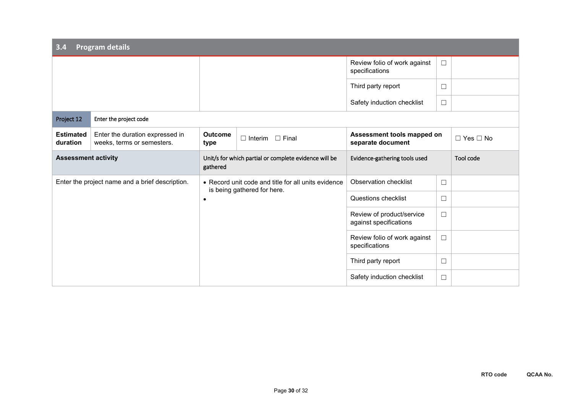| 3.4                                             | <b>Program details</b>                                        |                                                                                                 |  |                                                     |        |                      |
|-------------------------------------------------|---------------------------------------------------------------|-------------------------------------------------------------------------------------------------|--|-----------------------------------------------------|--------|----------------------|
|                                                 |                                                               |                                                                                                 |  | Review folio of work against<br>specifications      | $\Box$ |                      |
|                                                 |                                                               |                                                                                                 |  | Third party report                                  | $\Box$ |                      |
|                                                 |                                                               |                                                                                                 |  | Safety induction checklist                          | $\Box$ |                      |
| Project 12                                      | Enter the project code                                        |                                                                                                 |  |                                                     |        |                      |
| <b>Estimated</b><br>duration                    | Enter the duration expressed in<br>weeks, terms or semesters. | <b>Outcome</b><br>$\Box$ Final<br>$\Box$ Interim<br>type                                        |  | Assessment tools mapped on<br>separate document     |        | $\Box$ Yes $\Box$ No |
| <b>Assessment activity</b>                      |                                                               | Unit/s for which partial or complete evidence will be<br>gathered                               |  | Evidence-gathering tools used                       |        | Tool code            |
| Enter the project name and a brief description. |                                                               | • Record unit code and title for all units evidence<br>is being gathered for here.<br>$\bullet$ |  | Observation checklist                               | $\Box$ |                      |
|                                                 |                                                               |                                                                                                 |  | Questions checklist                                 | $\Box$ |                      |
|                                                 |                                                               |                                                                                                 |  | Review of product/service<br>against specifications | $\Box$ |                      |
|                                                 |                                                               |                                                                                                 |  | Review folio of work against<br>specifications      | $\Box$ |                      |
|                                                 |                                                               |                                                                                                 |  | Third party report                                  | $\Box$ |                      |
|                                                 |                                                               |                                                                                                 |  | Safety induction checklist                          | $\Box$ |                      |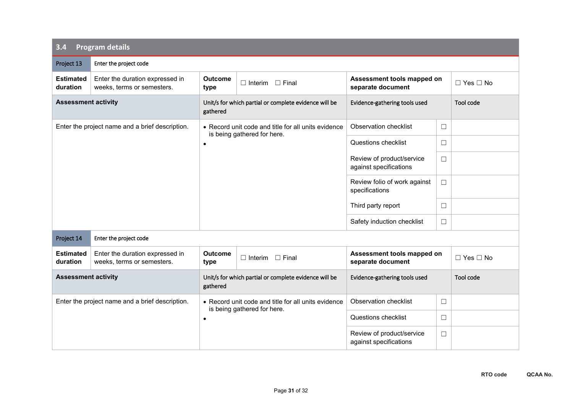| 3.4                                             | <b>Program details</b>                                        |                                                                   |                                                                                    |                                                     |        |                      |
|-------------------------------------------------|---------------------------------------------------------------|-------------------------------------------------------------------|------------------------------------------------------------------------------------|-----------------------------------------------------|--------|----------------------|
| Project 13                                      | Enter the project code                                        |                                                                   |                                                                                    |                                                     |        |                      |
| <b>Estimated</b><br>duration                    | Enter the duration expressed in<br>weeks, terms or semesters. | <b>Outcome</b><br>type                                            | $\Box$ Interim $\Box$ Final                                                        | Assessment tools mapped on<br>separate document     |        | $\Box$ Yes $\Box$ No |
| <b>Assessment activity</b>                      |                                                               | Unit/s for which partial or complete evidence will be<br>gathered |                                                                                    | Evidence-gathering tools used                       |        | Tool code            |
|                                                 | Enter the project name and a brief description.               |                                                                   | • Record unit code and title for all units evidence                                | Observation checklist                               | $\Box$ |                      |
|                                                 |                                                               | is being gathered for here.<br>$\bullet$                          |                                                                                    | Questions checklist                                 | $\Box$ |                      |
|                                                 |                                                               |                                                                   |                                                                                    | Review of product/service<br>against specifications | $\Box$ |                      |
|                                                 |                                                               |                                                                   |                                                                                    | Review folio of work against<br>specifications      | $\Box$ |                      |
|                                                 |                                                               |                                                                   |                                                                                    | Third party report                                  | □      |                      |
|                                                 |                                                               |                                                                   |                                                                                    | Safety induction checklist                          | $\Box$ |                      |
| Project 14                                      | Enter the project code                                        |                                                                   |                                                                                    |                                                     |        |                      |
| <b>Estimated</b><br>duration                    | Enter the duration expressed in<br>weeks, terms or semesters. | <b>Outcome</b><br>type                                            | $\Box$ Interim<br>$\Box$ Final                                                     | Assessment tools mapped on<br>separate document     |        | $\Box$ Yes $\Box$ No |
| <b>Assessment activity</b>                      |                                                               | Unit/s for which partial or complete evidence will be<br>gathered |                                                                                    | Evidence-gathering tools used                       |        | Tool code            |
| Enter the project name and a brief description. |                                                               |                                                                   | • Record unit code and title for all units evidence<br>is being gathered for here. | <b>Observation checklist</b>                        | $\Box$ |                      |
|                                                 |                                                               | $\bullet$                                                         |                                                                                    | Questions checklist                                 | $\Box$ |                      |
|                                                 |                                                               |                                                                   |                                                                                    | Review of product/service<br>against specifications | $\Box$ |                      |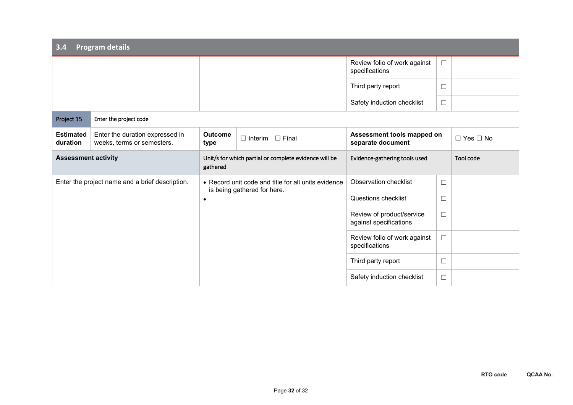| 3.4                                             | <b>Program details</b>                                        |                                                                                                 |  |                                                     |        |                      |
|-------------------------------------------------|---------------------------------------------------------------|-------------------------------------------------------------------------------------------------|--|-----------------------------------------------------|--------|----------------------|
|                                                 |                                                               |                                                                                                 |  | Review folio of work against<br>specifications      | $\Box$ |                      |
|                                                 |                                                               |                                                                                                 |  | Third party report                                  | $\Box$ |                      |
|                                                 |                                                               |                                                                                                 |  | Safety induction checklist                          | $\Box$ |                      |
| Project 15                                      | Enter the project code                                        |                                                                                                 |  |                                                     |        |                      |
| <b>Estimated</b><br>duration                    | Enter the duration expressed in<br>weeks, terms or semesters. | <b>Outcome</b><br>$\Box$ Final<br>$\Box$ Interim<br>type                                        |  | Assessment tools mapped on<br>separate document     |        | $\Box$ Yes $\Box$ No |
| <b>Assessment activity</b>                      |                                                               | Unit/s for which partial or complete evidence will be<br>gathered                               |  | Evidence-gathering tools used                       |        | Tool code            |
| Enter the project name and a brief description. |                                                               | • Record unit code and title for all units evidence<br>is being gathered for here.<br>$\bullet$ |  | Observation checklist                               | $\Box$ |                      |
|                                                 |                                                               |                                                                                                 |  | Questions checklist                                 | $\Box$ |                      |
|                                                 |                                                               |                                                                                                 |  | Review of product/service<br>against specifications | $\Box$ |                      |
|                                                 |                                                               |                                                                                                 |  | Review folio of work against<br>specifications      | $\Box$ |                      |
|                                                 |                                                               |                                                                                                 |  | Third party report                                  | $\Box$ |                      |
|                                                 |                                                               |                                                                                                 |  | Safety induction checklist                          | $\Box$ |                      |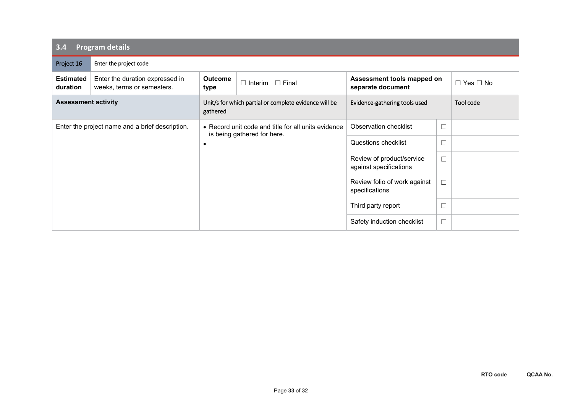| 3.4                                             | <b>Program details</b>                                        |                                                                                    |                                                     |                                                 |           |                      |  |
|-------------------------------------------------|---------------------------------------------------------------|------------------------------------------------------------------------------------|-----------------------------------------------------|-------------------------------------------------|-----------|----------------------|--|
| Project 16                                      | Enter the project code                                        |                                                                                    |                                                     |                                                 |           |                      |  |
| <b>Estimated</b><br>duration                    | Enter the duration expressed in<br>weeks, terms or semesters. | <b>Outcome</b><br>type                                                             | $\Box$ Interim $\Box$ Final                         | Assessment tools mapped on<br>separate document |           | $\Box$ Yes $\Box$ No |  |
| <b>Assessment activity</b><br>gathered          |                                                               | Unit/s for which partial or complete evidence will be                              | Evidence-gathering tools used                       |                                                 | Tool code |                      |  |
| Enter the project name and a brief description. |                                                               | • Record unit code and title for all units evidence<br>is being gathered for here. |                                                     | Observation checklist                           | $\Box$    |                      |  |
|                                                 | ٠                                                             |                                                                                    |                                                     | Questions checklist                             | $\Box$    |                      |  |
|                                                 |                                                               |                                                                                    | Review of product/service<br>against specifications | $\Box$                                          |           |                      |  |
|                                                 |                                                               |                                                                                    |                                                     | Review folio of work against<br>specifications  | $\Box$    |                      |  |
|                                                 |                                                               |                                                                                    | Third party report                                  | $\Box$                                          |           |                      |  |
|                                                 |                                                               |                                                                                    |                                                     | Safety induction checklist                      | $\Box$    |                      |  |